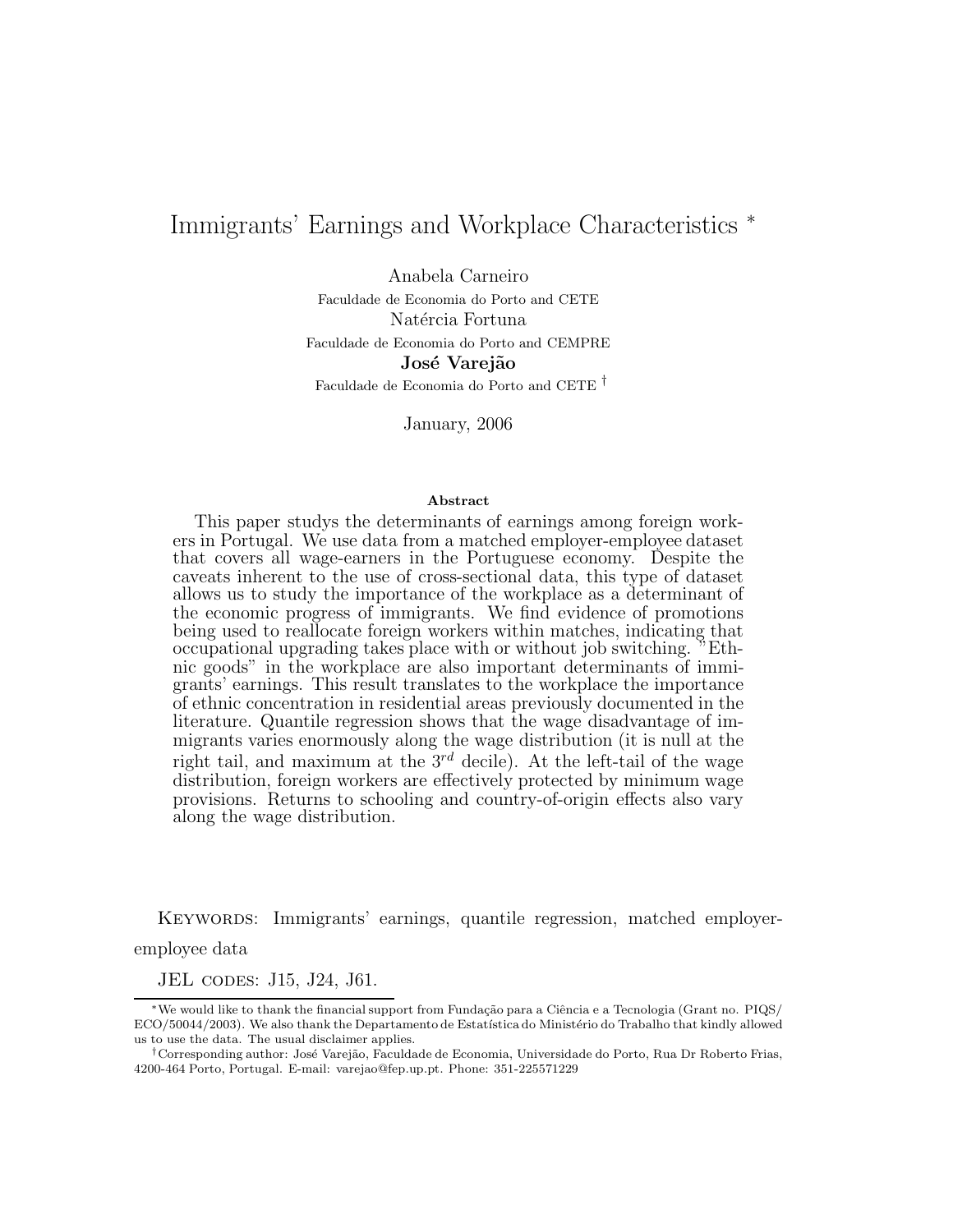# Immigrants' Earnings and Workplace Characteristics <sup>∗</sup>

Anabela Carneiro

Faculdade de Economia do Porto and CETE Natércia Fortuna Faculdade de Economia do Porto and CEMPRE José Varejão Faculdade de Economia do Porto and CETE †

January, 2006

#### Abstract

This paper studys the determinants of earnings among foreign workers in Portugal. We use data from a matched employer-employee dataset that covers all wage-earners in the Portuguese economy. Despite the caveats inherent to the use of cross-sectional data, this type of dataset allows us to study the importance of the workplace as a determinant of the economic progress of immigrants. We find evidence of promotions being used to reallocate foreign workers within matches, indicating that occupational upgrading takes place with or without job switching. "Ethnic goods" in the workplace are also important determinants of immigrants' earnings. This result translates to the workplace the importance of ethnic concentration in residential areas previously documented in the literature. Quantile regression shows that the wage disadvantage of immigrants varies enormously along the wage distribution (it is null at the right tail, and maximum at the  $3^{rd}$  decile). At the left-tail of the wage distribution, foreign workers are effectively protected by minimum wage provisions. Returns to schooling and country-of-origin effects also vary along the wage distribution.

Keywords: Immigrants' earnings, quantile regression, matched employer-

employee data

JEL codes: J15, J24, J61.

<sup>∗</sup>We would like to thank the financial support from Funda¸c˜ao para a Ciˆencia e a Tecnologia (Grant no. PIQS/ ECO/50044/2003). We also thank the Departamento de Estatística do Ministério do Trabalho that kindly allowed us to use the data. The usual disclaimer applies.

<sup>&</sup>lt;sup>†</sup>Corresponding author: José Varejão, Faculdade de Economia, Universidade do Porto, Rua Dr Roberto Frias, 4200-464 Porto, Portugal. E-mail: varejao@fep.up.pt. Phone: 351-225571229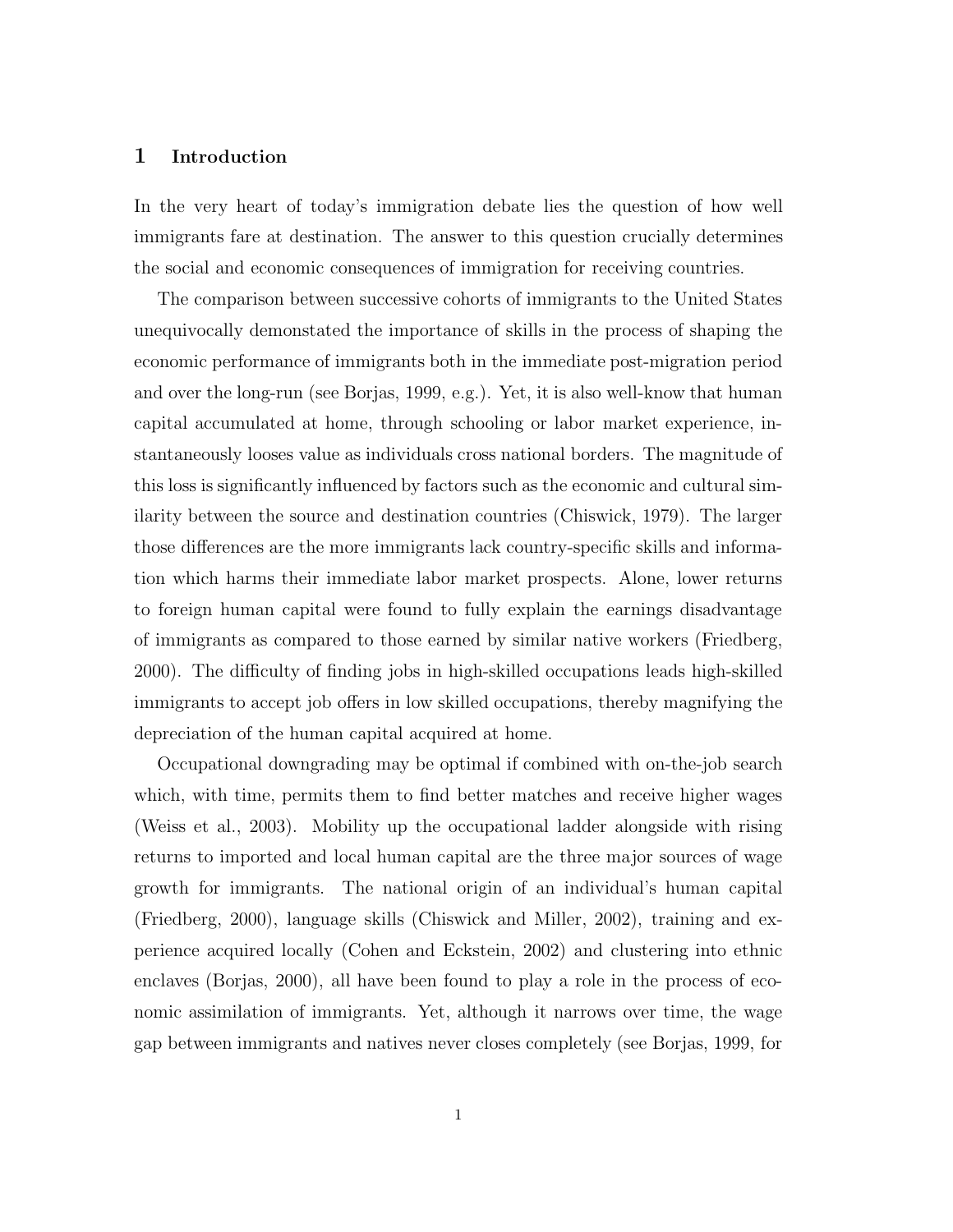## 1 Introduction

In the very heart of today's immigration debate lies the question of how well immigrants fare at destination. The answer to this question crucially determines the social and economic consequences of immigration for receiving countries.

The comparison between successive cohorts of immigrants to the United States unequivocally demonstated the importance of skills in the process of shaping the economic performance of immigrants both in the immediate post-migration period and over the long-run (see Borjas, 1999, e.g.). Yet, it is also well-know that human capital accumulated at home, through schooling or labor market experience, instantaneously looses value as individuals cross national borders. The magnitude of this loss is significantly influenced by factors such as the economic and cultural similarity between the source and destination countries (Chiswick, 1979). The larger those differences are the more immigrants lack country-specific skills and information which harms their immediate labor market prospects. Alone, lower returns to foreign human capital were found to fully explain the earnings disadvantage of immigrants as compared to those earned by similar native workers (Friedberg, 2000). The difficulty of finding jobs in high-skilled occupations leads high-skilled immigrants to accept job offers in low skilled occupations, thereby magnifying the depreciation of the human capital acquired at home.

Occupational downgrading may be optimal if combined with on-the-job search which, with time, permits them to find better matches and receive higher wages (Weiss et al., 2003). Mobility up the occupational ladder alongside with rising returns to imported and local human capital are the three major sources of wage growth for immigrants. The national origin of an individual's human capital (Friedberg, 2000), language skills (Chiswick and Miller, 2002), training and experience acquired locally (Cohen and Eckstein, 2002) and clustering into ethnic enclaves (Borjas, 2000), all have been found to play a role in the process of economic assimilation of immigrants. Yet, although it narrows over time, the wage gap between immigrants and natives never closes completely (see Borjas, 1999, for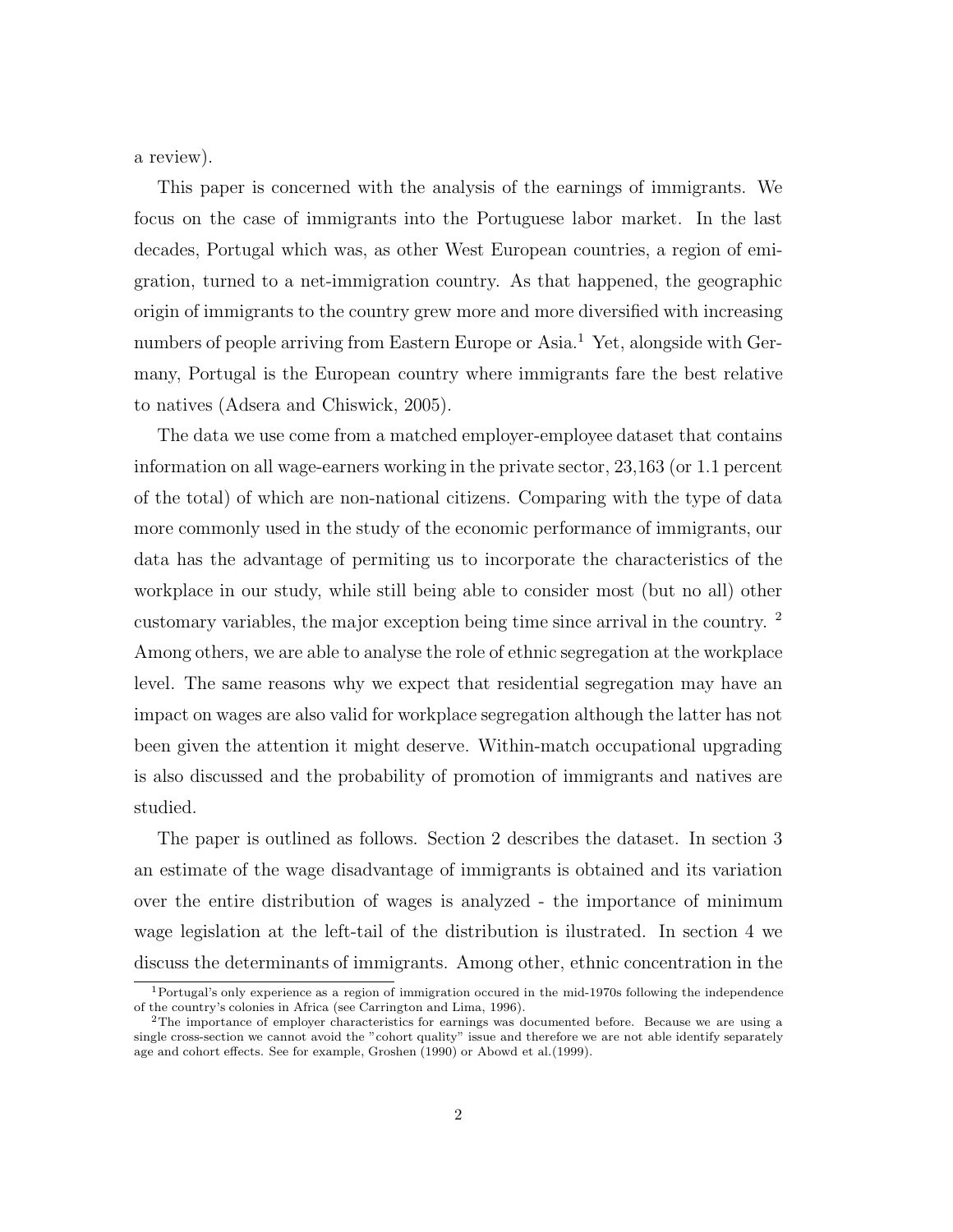a review).

This paper is concerned with the analysis of the earnings of immigrants. We focus on the case of immigrants into the Portuguese labor market. In the last decades, Portugal which was, as other West European countries, a region of emigration, turned to a net-immigration country. As that happened, the geographic origin of immigrants to the country grew more and more diversified with increasing numbers of people arriving from Eastern Europe or Asia.<sup>1</sup> Yet, alongside with Germany, Portugal is the European country where immigrants fare the best relative to natives (Adsera and Chiswick, 2005).

The data we use come from a matched employer-employee dataset that contains information on all wage-earners working in the private sector, 23,163 (or 1.1 percent of the total) of which are non-national citizens. Comparing with the type of data more commonly used in the study of the economic performance of immigrants, our data has the advantage of permiting us to incorporate the characteristics of the workplace in our study, while still being able to consider most (but no all) other customary variables, the major exception being time since arrival in the country. <sup>2</sup> Among others, we are able to analyse the role of ethnic segregation at the workplace level. The same reasons why we expect that residential segregation may have an impact on wages are also valid for workplace segregation although the latter has not been given the attention it might deserve. Within-match occupational upgrading is also discussed and the probability of promotion of immigrants and natives are studied.

The paper is outlined as follows. Section 2 describes the dataset. In section 3 an estimate of the wage disadvantage of immigrants is obtained and its variation over the entire distribution of wages is analyzed - the importance of minimum wage legislation at the left-tail of the distribution is ilustrated. In section 4 we discuss the determinants of immigrants. Among other, ethnic concentration in the

<sup>1</sup>Portugal's only experience as a region of immigration occured in the mid-1970s following the independence of the country's colonies in Africa (see Carrington and Lima, 1996).

<sup>2</sup>The importance of employer characteristics for earnings was documented before. Because we are using a single cross-section we cannot avoid the "cohort quality" issue and therefore we are not able identify separately age and cohort effects. See for example, Groshen (1990) or Abowd et al.(1999).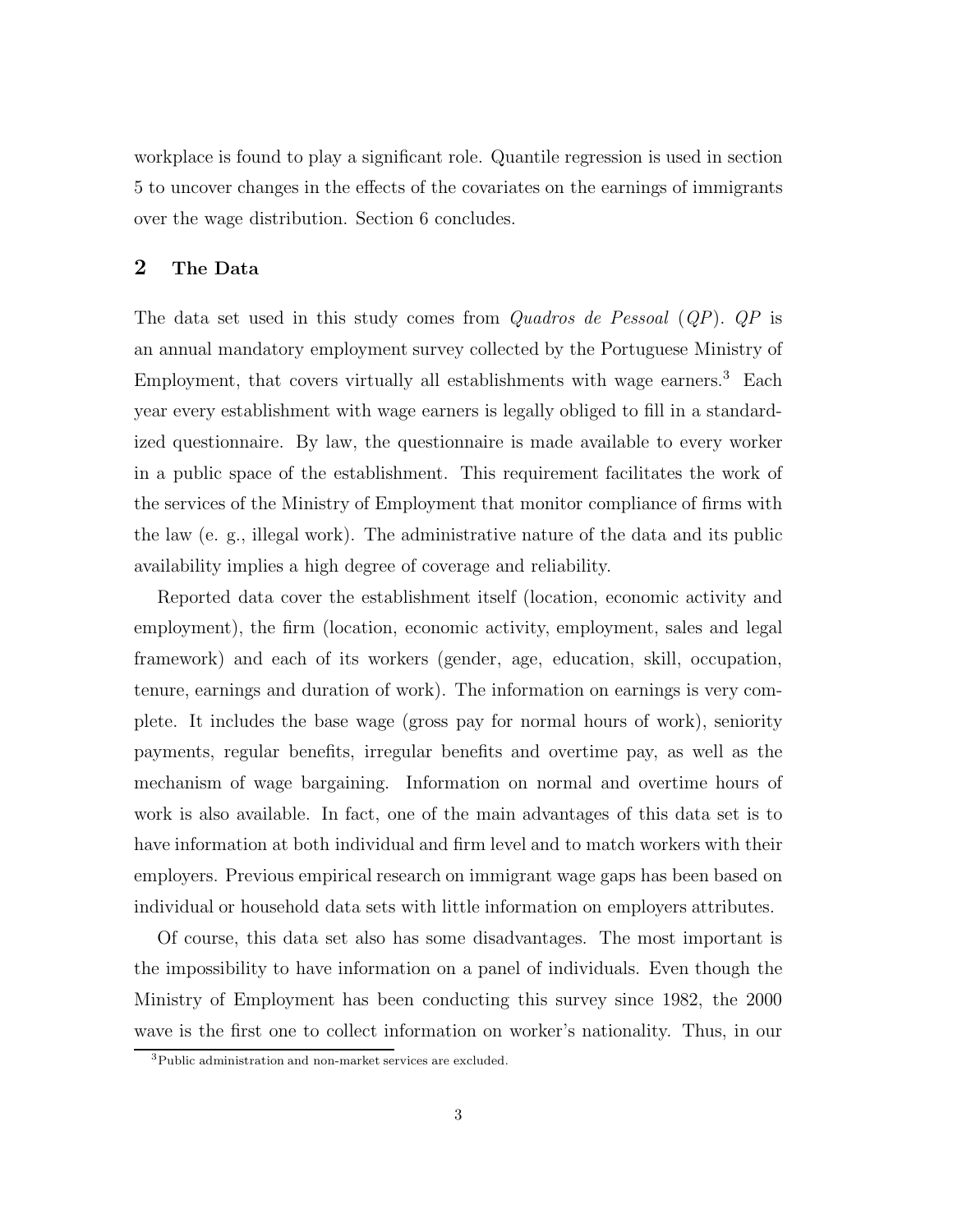workplace is found to play a significant role. Quantile regression is used in section 5 to uncover changes in the effects of the covariates on the earnings of immigrants over the wage distribution. Section 6 concludes.

# 2 The Data

The data set used in this study comes from Quadros de Pessoal (QP). QP is an annual mandatory employment survey collected by the Portuguese Ministry of Employment, that covers virtually all establishments with wage earners.<sup>3</sup> Each year every establishment with wage earners is legally obliged to fill in a standardized questionnaire. By law, the questionnaire is made available to every worker in a public space of the establishment. This requirement facilitates the work of the services of the Ministry of Employment that monitor compliance of firms with the law (e. g., illegal work). The administrative nature of the data and its public availability implies a high degree of coverage and reliability.

Reported data cover the establishment itself (location, economic activity and employment), the firm (location, economic activity, employment, sales and legal framework) and each of its workers (gender, age, education, skill, occupation, tenure, earnings and duration of work). The information on earnings is very complete. It includes the base wage (gross pay for normal hours of work), seniority payments, regular benefits, irregular benefits and overtime pay, as well as the mechanism of wage bargaining. Information on normal and overtime hours of work is also available. In fact, one of the main advantages of this data set is to have information at both individual and firm level and to match workers with their employers. Previous empirical research on immigrant wage gaps has been based on individual or household data sets with little information on employers attributes.

Of course, this data set also has some disadvantages. The most important is the impossibility to have information on a panel of individuals. Even though the Ministry of Employment has been conducting this survey since 1982, the 2000 wave is the first one to collect information on worker's nationality. Thus, in our

<sup>3</sup>Public administration and non-market services are excluded.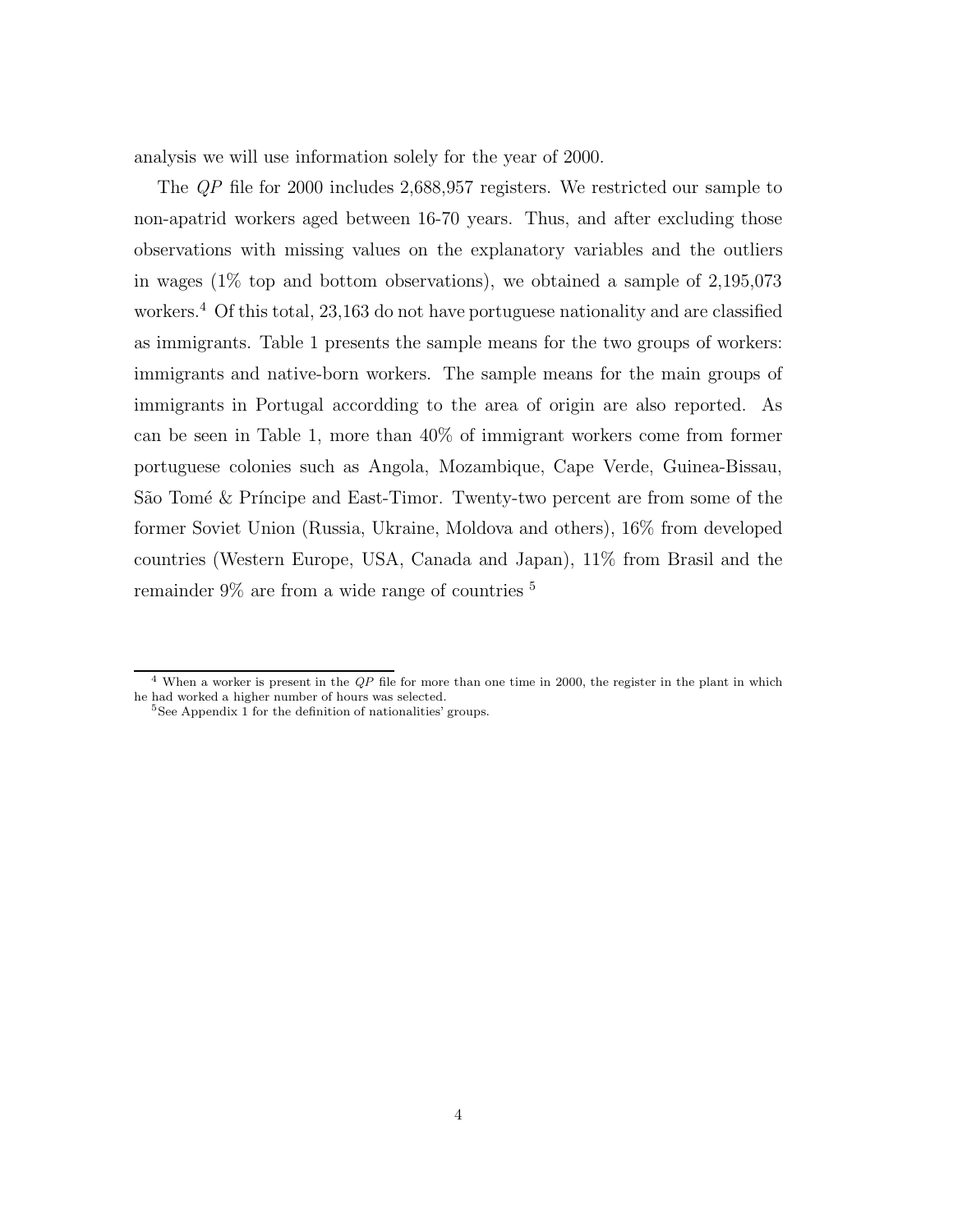analysis we will use information solely for the year of 2000.

The QP file for 2000 includes 2,688,957 registers. We restricted our sample to non-apatrid workers aged between 16-70 years. Thus, and after excluding those observations with missing values on the explanatory variables and the outliers in wages (1% top and bottom observations), we obtained a sample of 2,195,073 workers.<sup>4</sup> Of this total, 23,163 do not have portuguese nationality and are classified as immigrants. Table 1 presents the sample means for the two groups of workers: immigrants and native-born workers. The sample means for the main groups of immigrants in Portugal accordding to the area of origin are also reported. As can be seen in Table 1, more than 40% of immigrant workers come from former portuguese colonies such as Angola, Mozambique, Cape Verde, Guinea-Bissau, São Tomé & Príncipe and East-Timor. Twenty-two percent are from some of the former Soviet Union (Russia, Ukraine, Moldova and others), 16% from developed countries (Western Europe, USA, Canada and Japan), 11% from Brasil and the remainder 9% are from a wide range of countries <sup>5</sup>

 $4$  When a worker is present in the QP file for more than one time in 2000, the register in the plant in which he had worked a higher number of hours was selected.

 $5$ See Appendix 1 for the definition of nationalities' groups.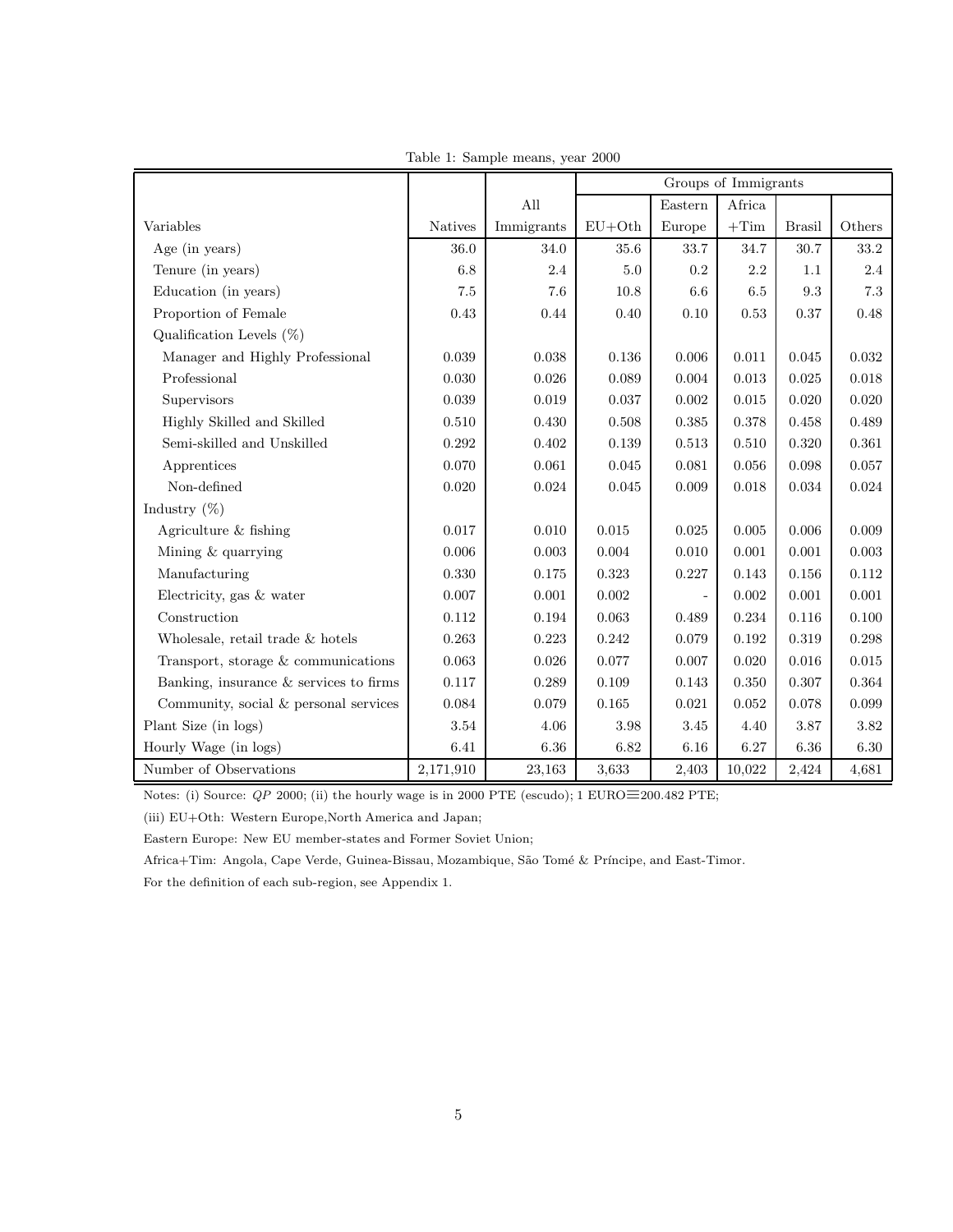|                                          |                |            | Groups of Immigrants |         |        |               |           |
|------------------------------------------|----------------|------------|----------------------|---------|--------|---------------|-----------|
|                                          |                | All        |                      | Eastern | Africa |               |           |
| Variables                                | <b>Natives</b> | Immigrants | $EU+Oth$             | Europe  | $+Tim$ | <b>Brasil</b> | Others    |
| Age (in years)                           | 36.0           | 34.0       | 35.6                 | 33.7    | 34.7   | 30.7          | 33.2      |
| Tenure (in years)                        | 6.8            | 2.4        | 5.0                  | 0.2     | 2.2    | 1.1           | 2.4       |
| Education (in years)                     | 7.5            | 7.6        | 10.8                 | 6.6     | 6.5    | $9.3\,$       | $7.3\,$   |
| Proportion of Female                     | 0.43           | 0.44       | 0.40                 | 0.10    | 0.53   | 0.37          | 0.48      |
| Qualification Levels $(\%)$              |                |            |                      |         |        |               |           |
| Manager and Highly Professional          | 0.039          | 0.038      | 0.136                | 0.006   | 0.011  | 0.045         | 0.032     |
| Professional                             | 0.030          | 0.026      | 0.089                | 0.004   | 0.013  | 0.025         | 0.018     |
| Supervisors                              | 0.039          | 0.019      | 0.037                | 0.002   | 0.015  | 0.020         | 0.020     |
| Highly Skilled and Skilled               | 0.510          | 0.430      | 0.508                | 0.385   | 0.378  | 0.458         | 0.489     |
| Semi-skilled and Unskilled               | 0.292          | 0.402      | 0.139                | 0.513   | 0.510  | 0.320         | 0.361     |
| Apprentices                              | 0.070          | 0.061      | 0.045                | 0.081   | 0.056  | $\,0.098\,$   | $0.057\,$ |
| Non-defined                              | 0.020          | 0.024      | 0.045                | 0.009   | 0.018  | 0.034         | 0.024     |
| Industry $(\%)$                          |                |            |                      |         |        |               |           |
| Agriculture & fishing                    | 0.017          | 0.010      | 0.015                | 0.025   | 0.005  | 0.006         | 0.009     |
| Mining & quarrying                       | 0.006          | 0.003      | 0.004                | 0.010   | 0.001  | 0.001         | 0.003     |
| Manufacturing                            | 0.330          | 0.175      | 0.323                | 0.227   | 0.143  | 0.156         | 0.112     |
| Electricity, gas & water                 | 0.007          | 0.001      | 0.002                |         | 0.002  | $0.001\,$     | 0.001     |
| Construction                             | 0.112          | 0.194      | 0.063                | 0.489   | 0.234  | 0.116         | 0.100     |
| Wholesale, retail trade & hotels         | 0.263          | 0.223      | 0.242                | 0.079   | 0.192  | 0.319         | 0.298     |
| Transport, storage $&$ communications    | 0.063          | 0.026      | 0.077                | 0.007   | 0.020  | 0.016         | 0.015     |
| Banking, insurance $&$ services to firms | 0.117          | 0.289      | 0.109                | 0.143   | 0.350  | 0.307         | 0.364     |
| Community, social & personal services    | 0.084          | 0.079      | 0.165                | 0.021   | 0.052  | 0.078         | 0.099     |
| Plant Size (in logs)                     | 3.54           | 4.06       | 3.98                 | 3.45    | 4.40   | 3.87          | 3.82      |
| Hourly Wage (in logs)                    | 6.41           | 6.36       | 6.82                 | 6.16    | 6.27   | 6.36          | 6.30      |
| Number of Observations                   | 2,171,910      | 23,163     | 3,633                | 2,403   | 10,022 | 2,424         | 4,681     |

Table 1: Sample means, year 2000

Notes: (i) Source: QP 2000; (ii) the hourly wage is in 2000 PTE (escudo); 1 EURO≡200.482 PTE;

(iii) EU+Oth: Western Europe,North America and Japan;

Eastern Europe: New EU member-states and Former Soviet Union;

Africa+Tim: Angola, Cape Verde, Guinea-Bissau, Mozambique, São Tomé & Príncipe, and East-Timor.

For the definition of each sub-region, see Appendix 1.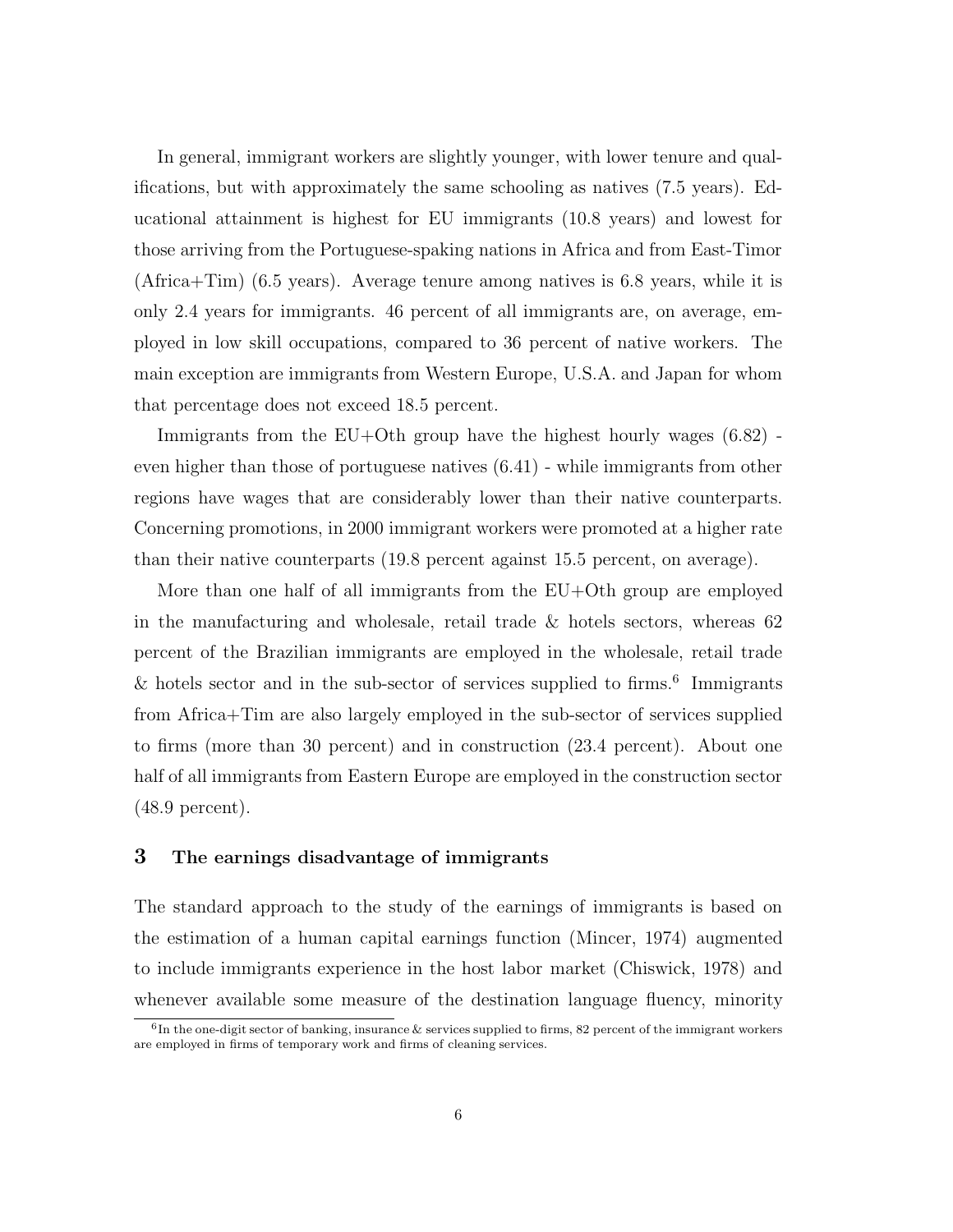In general, immigrant workers are slightly younger, with lower tenure and qualifications, but with approximately the same schooling as natives (7.5 years). Educational attainment is highest for EU immigrants (10.8 years) and lowest for those arriving from the Portuguese-spaking nations in Africa and from East-Timor (Africa+Tim) (6.5 years). Average tenure among natives is 6.8 years, while it is only 2.4 years for immigrants. 46 percent of all immigrants are, on average, employed in low skill occupations, compared to 36 percent of native workers. The main exception are immigrants from Western Europe, U.S.A. and Japan for whom that percentage does not exceed 18.5 percent.

Immigrants from the EU+Oth group have the highest hourly wages (6.82) even higher than those of portuguese natives (6.41) - while immigrants from other regions have wages that are considerably lower than their native counterparts. Concerning promotions, in 2000 immigrant workers were promoted at a higher rate than their native counterparts (19.8 percent against 15.5 percent, on average).

More than one half of all immigrants from the  $EU+O$ th group are employed in the manufacturing and wholesale, retail trade  $\&$  hotels sectors, whereas 62 percent of the Brazilian immigrants are employed in the wholesale, retail trade  $\&$  hotels sector and in the sub-sector of services supplied to firms.<sup>6</sup> Immigrants from Africa+Tim are also largely employed in the sub-sector of services supplied to firms (more than 30 percent) and in construction (23.4 percent). About one half of all immigrants from Eastern Europe are employed in the construction sector (48.9 percent).

## 3 The earnings disadvantage of immigrants

The standard approach to the study of the earnings of immigrants is based on the estimation of a human capital earnings function (Mincer, 1974) augmented to include immigrants experience in the host labor market (Chiswick, 1978) and whenever available some measure of the destination language fluency, minority

 $^6$ In the one-digit sector of banking, insurance & services supplied to firms, 82 percent of the immigrant workers are employed in firms of temporary work and firms of cleaning services.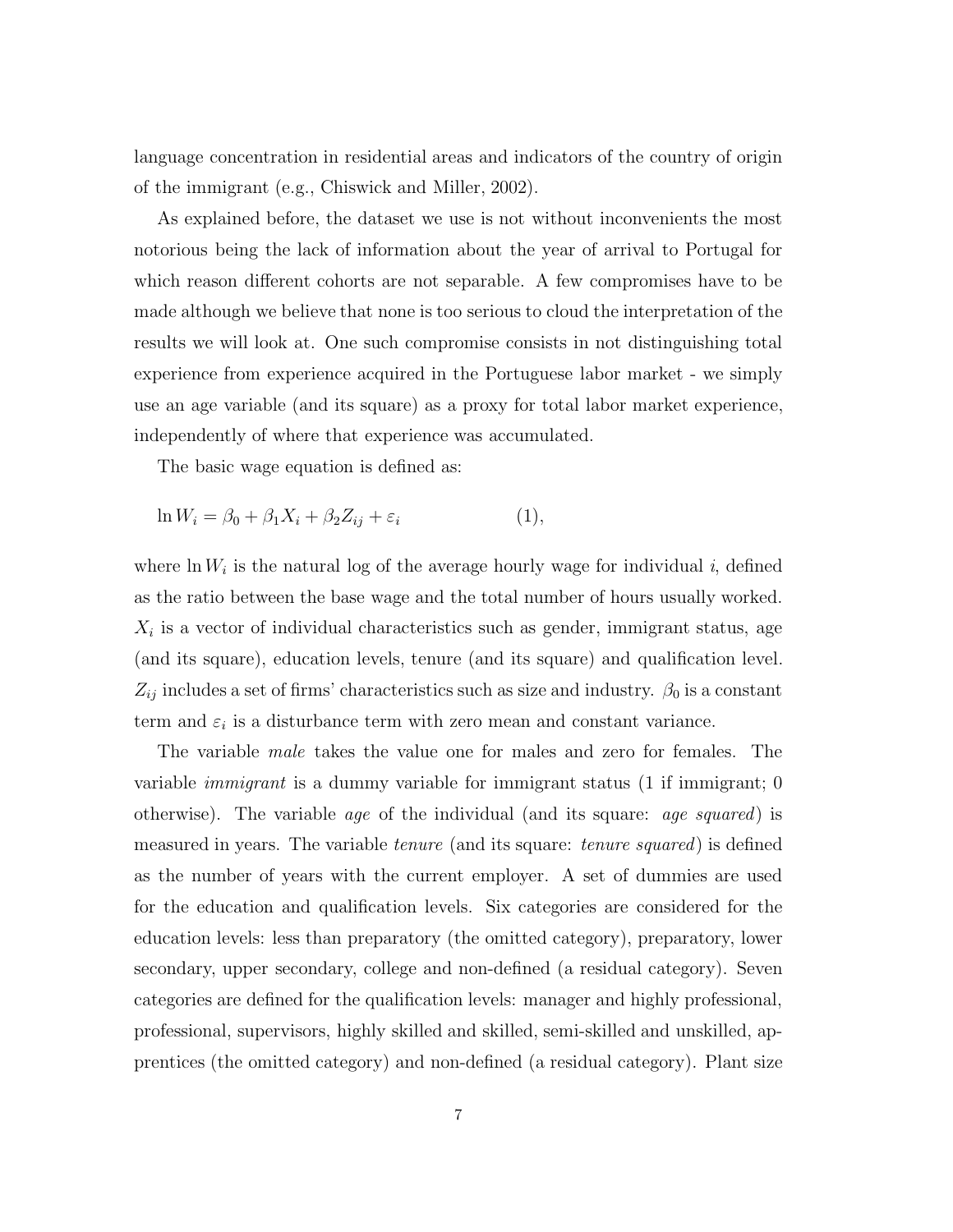language concentration in residential areas and indicators of the country of origin of the immigrant (e.g., Chiswick and Miller, 2002).

As explained before, the dataset we use is not without inconvenients the most notorious being the lack of information about the year of arrival to Portugal for which reason different cohorts are not separable. A few compromises have to be made although we believe that none is too serious to cloud the interpretation of the results we will look at. One such compromise consists in not distinguishing total experience from experience acquired in the Portuguese labor market - we simply use an age variable (and its square) as a proxy for total labor market experience, independently of where that experience was accumulated.

The basic wage equation is defined as:

$$
\ln W_i = \beta_0 + \beta_1 X_i + \beta_2 Z_{ij} + \varepsilon_i \tag{1},
$$

where  $\ln W_i$  is the natural log of the average hourly wage for individual i, defined as the ratio between the base wage and the total number of hours usually worked.  $X_i$  is a vector of individual characteristics such as gender, immigrant status, age (and its square), education levels, tenure (and its square) and qualification level.  $Z_{ij}$  includes a set of firms' characteristics such as size and industry.  $\beta_0$  is a constant term and  $\varepsilon_i$  is a disturbance term with zero mean and constant variance.

The variable male takes the value one for males and zero for females. The variable *immigrant* is a dummy variable for immigrant status  $(1 \text{ if } \text{immigrant}; 0)$ otherwise). The variable age of the individual (and its square: age squared) is measured in years. The variable tenure (and its square: tenure squared) is defined as the number of years with the current employer. A set of dummies are used for the education and qualification levels. Six categories are considered for the education levels: less than preparatory (the omitted category), preparatory, lower secondary, upper secondary, college and non-defined (a residual category). Seven categories are defined for the qualification levels: manager and highly professional, professional, supervisors, highly skilled and skilled, semi-skilled and unskilled, apprentices (the omitted category) and non-defined (a residual category). Plant size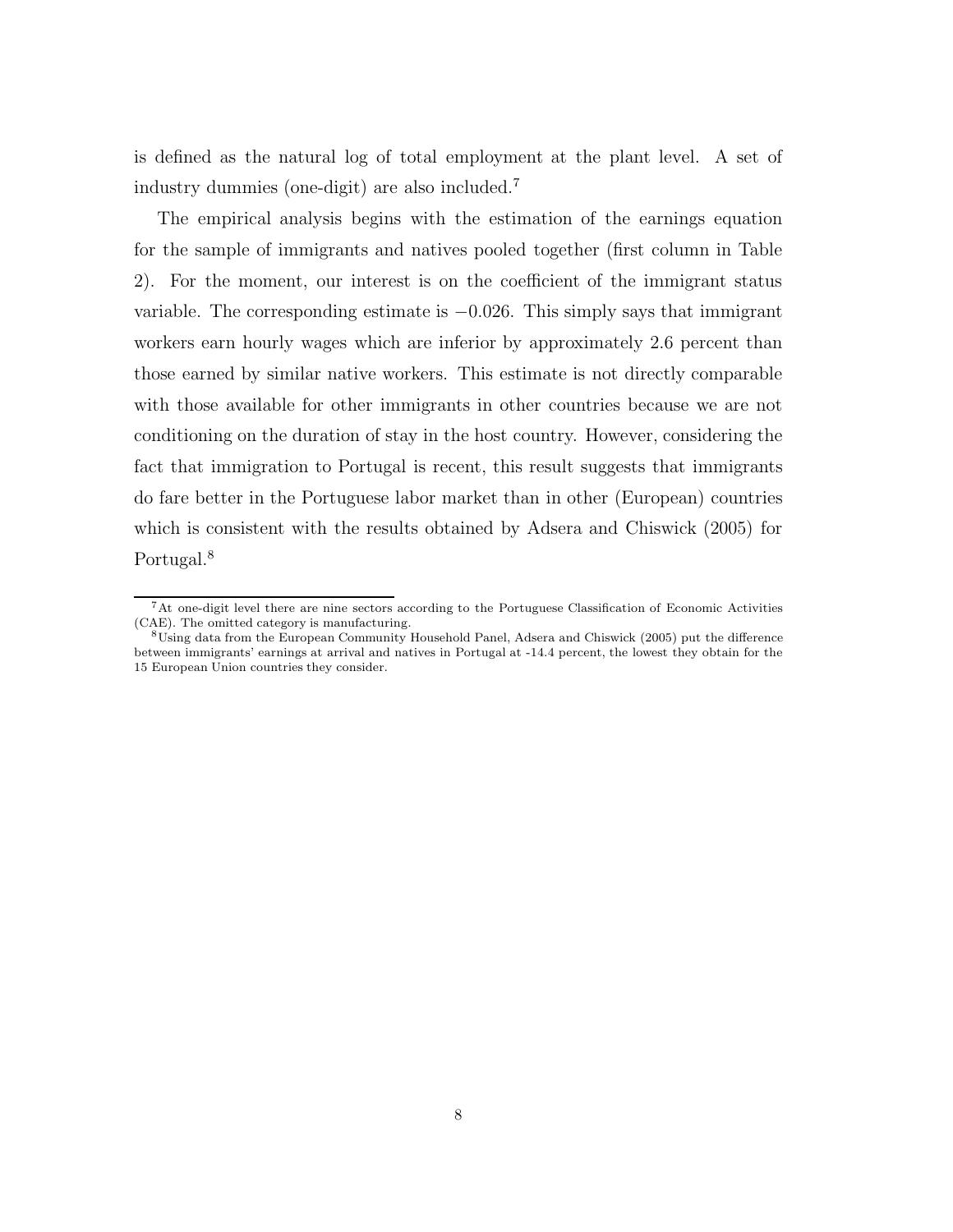is defined as the natural log of total employment at the plant level. A set of industry dummies (one-digit) are also included.<sup>7</sup>

The empirical analysis begins with the estimation of the earnings equation for the sample of immigrants and natives pooled together (first column in Table 2). For the moment, our interest is on the coefficient of the immigrant status variable. The corresponding estimate is  $-0.026$ . This simply says that immigrant workers earn hourly wages which are inferior by approximately 2.6 percent than those earned by similar native workers. This estimate is not directly comparable with those available for other immigrants in other countries because we are not conditioning on the duration of stay in the host country. However, considering the fact that immigration to Portugal is recent, this result suggests that immigrants do fare better in the Portuguese labor market than in other (European) countries which is consistent with the results obtained by Adsera and Chiswick (2005) for Portugal.<sup>8</sup>

<sup>7</sup>At one-digit level there are nine sectors according to the Portuguese Classification of Economic Activities (CAE). The omitted category is manufacturing.

<sup>8</sup>Using data from the European Community Household Panel, Adsera and Chiswick (2005) put the difference between immigrants' earnings at arrival and natives in Portugal at -14.4 percent, the lowest they obtain for the 15 European Union countries they consider.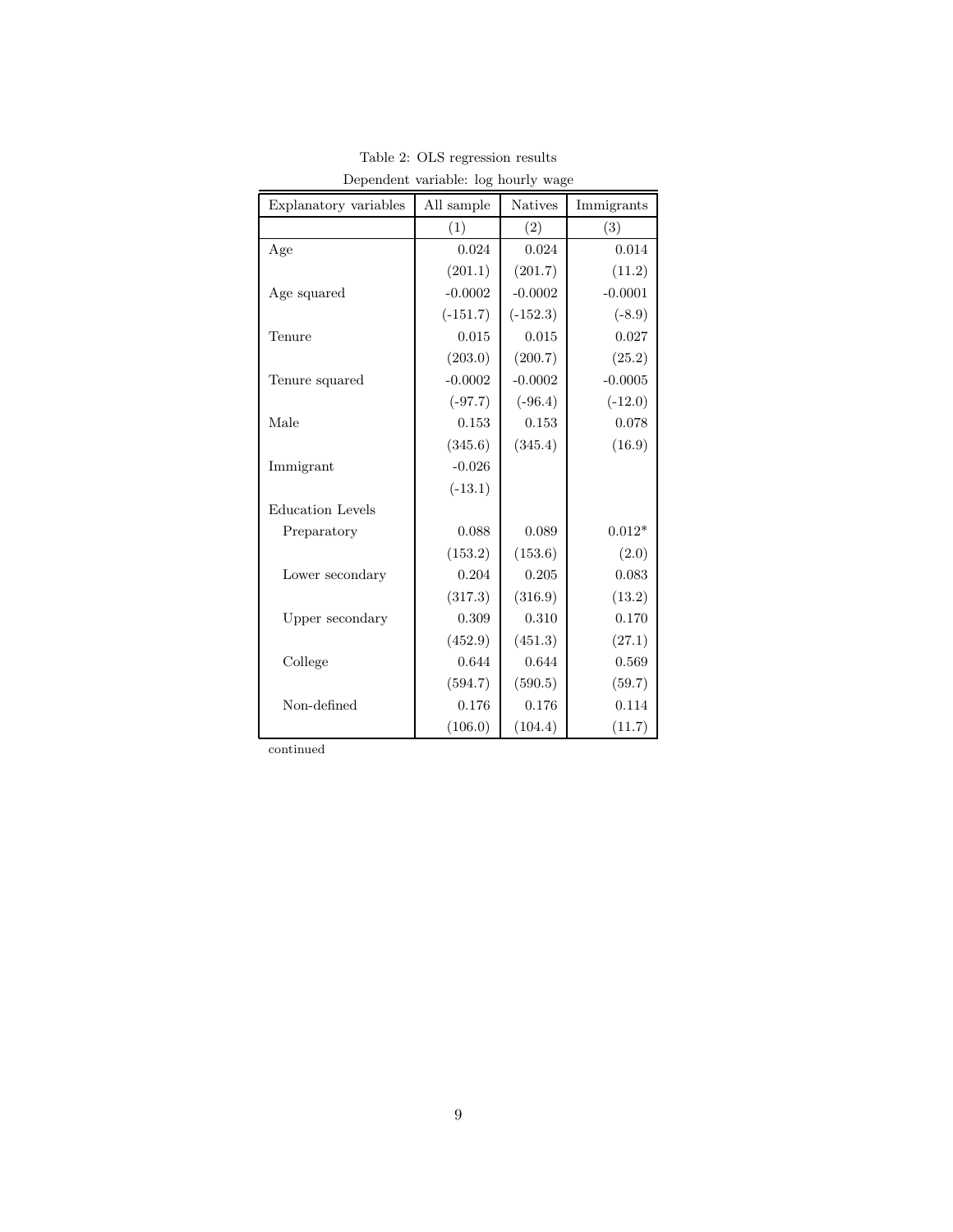| Explanatory variables   | All sample | <b>Natives</b> | Immigrants |
|-------------------------|------------|----------------|------------|
|                         | (1)        | (2)            | (3)        |
| Age                     | 0.024      | 0.024          | 0.014      |
|                         | (201.1)    | (201.7)        | (11.2)     |
| Age squared             | $-0.0002$  | $-0.0002$      | $-0.0001$  |
|                         | $(-151.7)$ | $(-152.3)$     | $(-8.9)$   |
| Tenure                  | 0.015      | 0.015          | 0.027      |
|                         | (203.0)    | (200.7)        | (25.2)     |
| Tenure squared          | $-0.0002$  | $-0.0002$      | $-0.0005$  |
|                         | $(-97.7)$  | $(-96.4)$      | $(-12.0)$  |
| Male                    | 0.153      | 0.153          | 0.078      |
|                         | (345.6)    | (345.4)        | (16.9)     |
| Immigrant               | $-0.026$   |                |            |
|                         | $(-13.1)$  |                |            |
| <b>Education Levels</b> |            |                |            |
| Preparatory             | 0.088      | 0.089          | $0.012*$   |
|                         | (153.2)    | (153.6)        | (2.0)      |
| Lower secondary         | 0.204      | 0.205          | 0.083      |
|                         | (317.3)    | (316.9)        | (13.2)     |
| Upper secondary         | 0.309      | 0.310          | 0.170      |
|                         | (452.9)    | (451.3)        | (27.1)     |
| College                 | 0.644      | 0.644          | 0.569      |
|                         | (594.7)    | (590.5)        | (59.7)     |
| Non-defined             | 0.176      | 0.176          | 0.114      |
|                         | (106.0)    | (104.4)        | (11.7)     |

Table 2: OLS regression results Dependent variable: log hourly wage

continued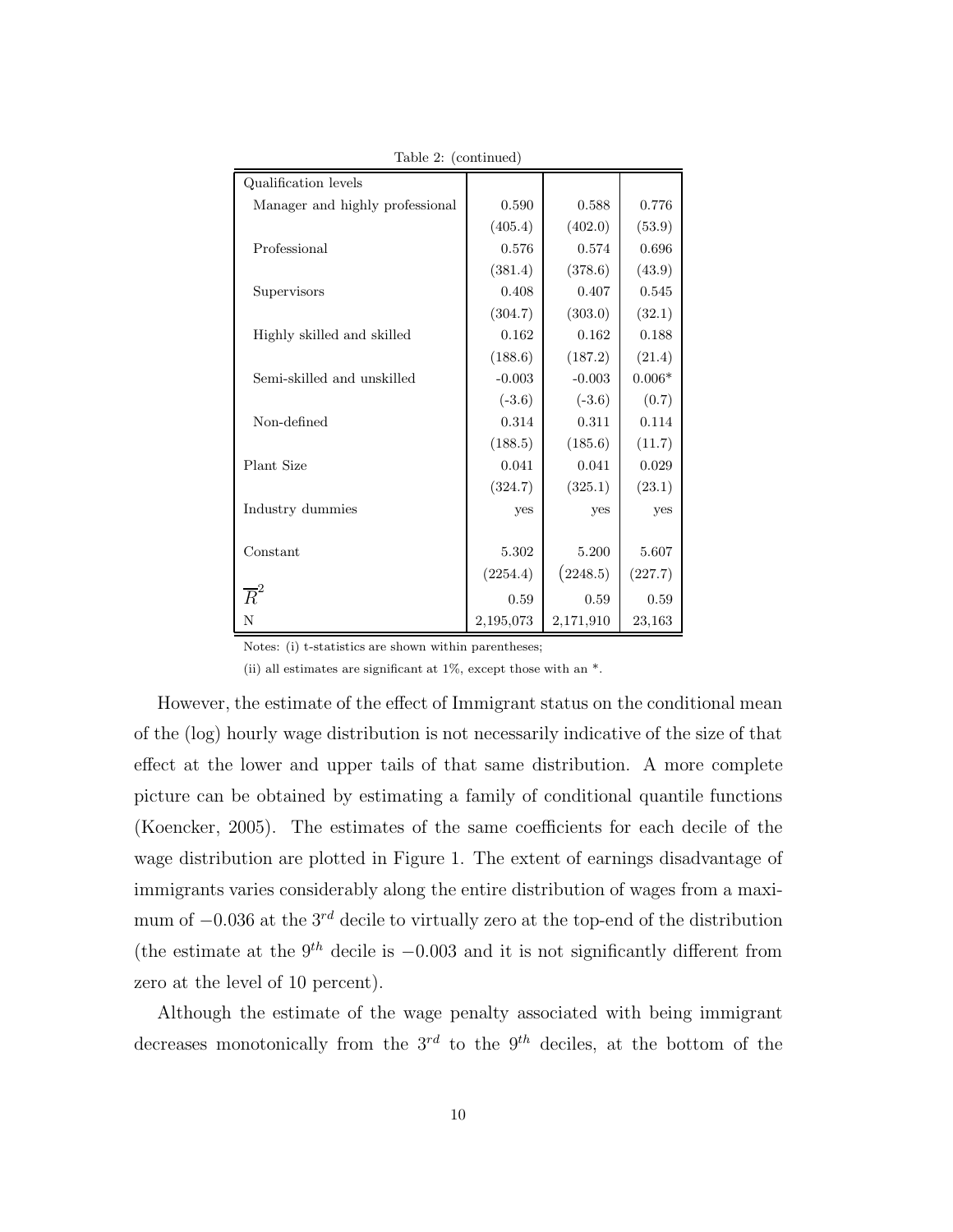| Qualification levels            |           |           |          |
|---------------------------------|-----------|-----------|----------|
| Manager and highly professional | 0.590     | 0.588     | 0.776    |
|                                 | (405.4)   | (402.0)   | (53.9)   |
| Professional                    | 0.576     | 0.574     | 0.696    |
|                                 | (381.4)   | (378.6)   | (43.9)   |
| Supervisors                     | 0.408     | 0.407     | 0.545    |
|                                 | (304.7)   | (303.0)   | (32.1)   |
| Highly skilled and skilled      | 0.162     | 0.162     | 0.188    |
|                                 | (188.6)   | (187.2)   | (21.4)   |
| Semi-skilled and unskilled      | $-0.003$  | $-0.003$  | $0.006*$ |
|                                 | $(-3.6)$  | $(-3.6)$  | (0.7)    |
| Non-defined                     | 0.314     | 0.311     | 0.114    |
|                                 | (188.5)   | (185.6)   | (11.7)   |
| Plant Size                      | 0.041     | 0.041     | 0.029    |
|                                 | (324.7)   | (325.1)   | (23.1)   |
| Industry dummies                | yes       | yes       | yes      |
|                                 |           |           |          |
| Constant                        | 5.302     | 5.200     | 5.607    |
|                                 | (2254.4)  | (2248.5)  | (227.7)  |
| $\overline{R}^2$                | 0.59      | 0.59      | 0.59     |
| N                               | 2,195,073 | 2,171,910 | 23,163   |

Table 2: (continued)

Notes: (i) t-statistics are shown within parentheses;

(ii) all estimates are significant at 1%, except those with an \*.

However, the estimate of the effect of Immigrant status on the conditional mean of the (log) hourly wage distribution is not necessarily indicative of the size of that effect at the lower and upper tails of that same distribution. A more complete picture can be obtained by estimating a family of conditional quantile functions (Koencker, 2005). The estimates of the same coefficients for each decile of the wage distribution are plotted in Figure 1. The extent of earnings disadvantage of immigrants varies considerably along the entire distribution of wages from a maximum of  $-0.036$  at the  $3^{rd}$  decile to virtually zero at the top-end of the distribution (the estimate at the  $9<sup>th</sup>$  decile is  $-0.003$  and it is not significantly different from zero at the level of 10 percent).

Although the estimate of the wage penalty associated with being immigrant decreases monotonically from the  $3^{rd}$  to the  $9^{th}$  deciles, at the bottom of the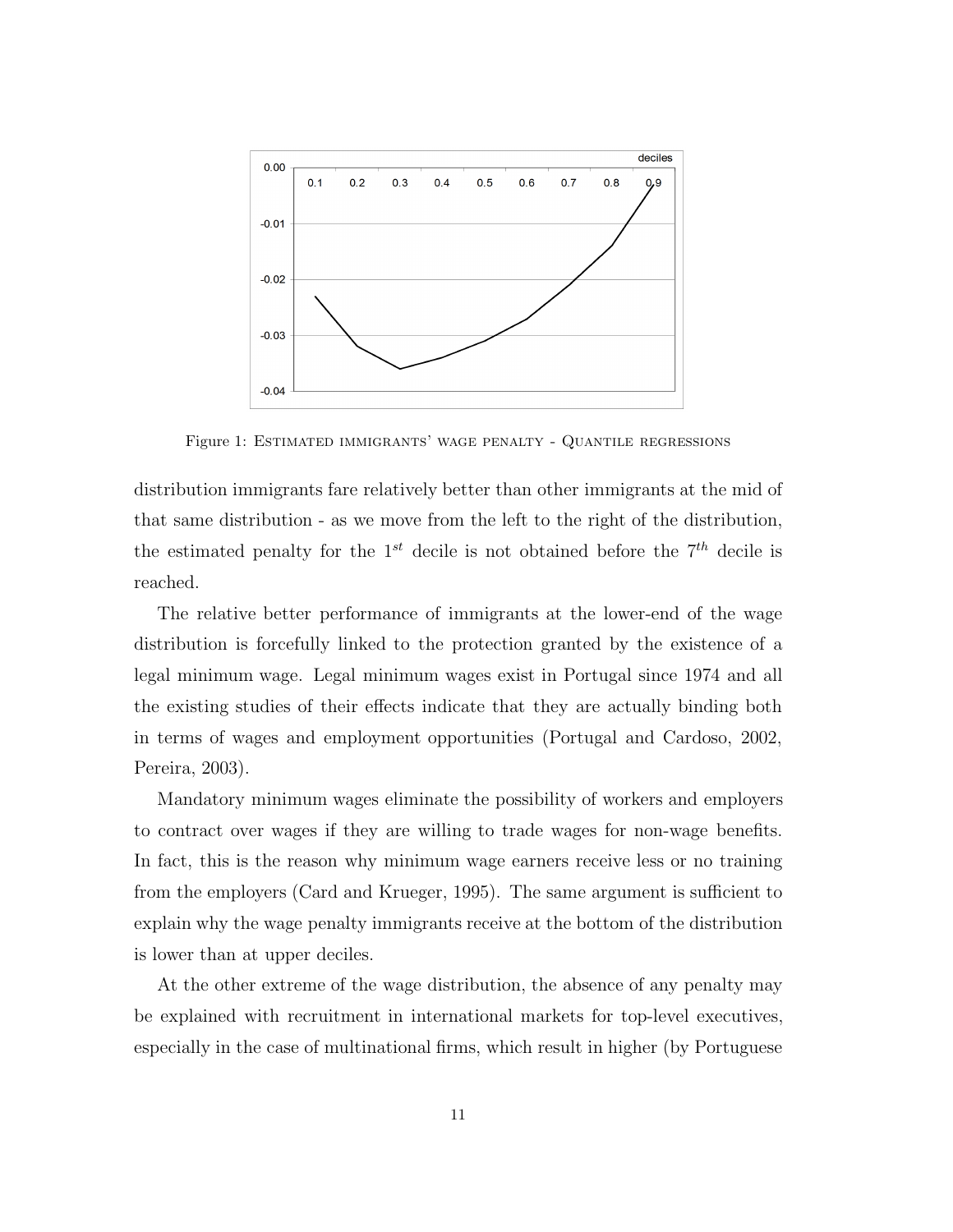

Figure 1: Estimated immigrants' wage penalty - Quantile regressions

distribution immigrants fare relatively better than other immigrants at the mid of that same distribution - as we move from the left to the right of the distribution, the estimated penalty for the  $1^{st}$  decile is not obtained before the  $7^{th}$  decile is reached.

The relative better performance of immigrants at the lower-end of the wage distribution is forcefully linked to the protection granted by the existence of a legal minimum wage. Legal minimum wages exist in Portugal since 1974 and all the existing studies of their effects indicate that they are actually binding both in terms of wages and employment opportunities (Portugal and Cardoso, 2002, Pereira, 2003).

Mandatory minimum wages eliminate the possibility of workers and employers to contract over wages if they are willing to trade wages for non-wage benefits. In fact, this is the reason why minimum wage earners receive less or no training from the employers (Card and Krueger, 1995). The same argument is sufficient to explain why the wage penalty immigrants receive at the bottom of the distribution is lower than at upper deciles.

At the other extreme of the wage distribution, the absence of any penalty may be explained with recruitment in international markets for top-level executives, especially in the case of multinational firms, which result in higher (by Portuguese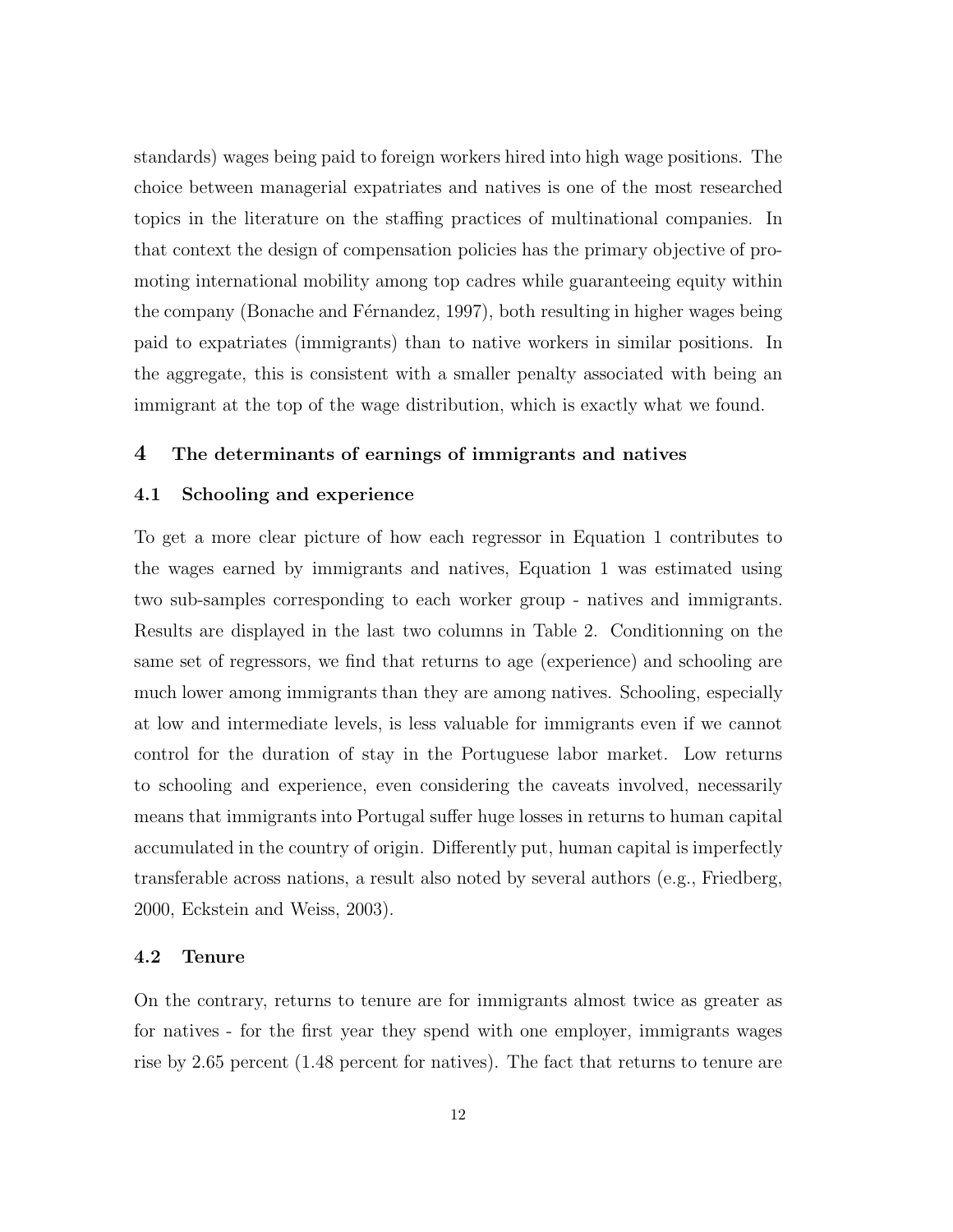standards) wages being paid to foreign workers hired into high wage positions. The choice between managerial expatriates and natives is one of the most researched topics in the literature on the staffing practices of multinational companies. In that context the design of compensation policies has the primary objective of promoting international mobility among top cadres while guaranteeing equity within the company (Bonache and Férnandez, 1997), both resulting in higher wages being paid to expatriates (immigrants) than to native workers in similar positions. In the aggregate, this is consistent with a smaller penalty associated with being an immigrant at the top of the wage distribution, which is exactly what we found.

## 4 The determinants of earnings of immigrants and natives

#### 4.1 Schooling and experience

To get a more clear picture of how each regressor in Equation 1 contributes to the wages earned by immigrants and natives, Equation 1 was estimated using two sub-samples corresponding to each worker group - natives and immigrants. Results are displayed in the last two columns in Table 2. Conditionning on the same set of regressors, we find that returns to age (experience) and schooling are much lower among immigrants than they are among natives. Schooling, especially at low and intermediate levels, is less valuable for immigrants even if we cannot control for the duration of stay in the Portuguese labor market. Low returns to schooling and experience, even considering the caveats involved, necessarily means that immigrants into Portugal suffer huge losses in returns to human capital accumulated in the country of origin. Differently put, human capital is imperfectly transferable across nations, a result also noted by several authors (e.g., Friedberg, 2000, Eckstein and Weiss, 2003).

#### 4.2 Tenure

On the contrary, returns to tenure are for immigrants almost twice as greater as for natives - for the first year they spend with one employer, immigrants wages rise by 2.65 percent (1.48 percent for natives). The fact that returns to tenure are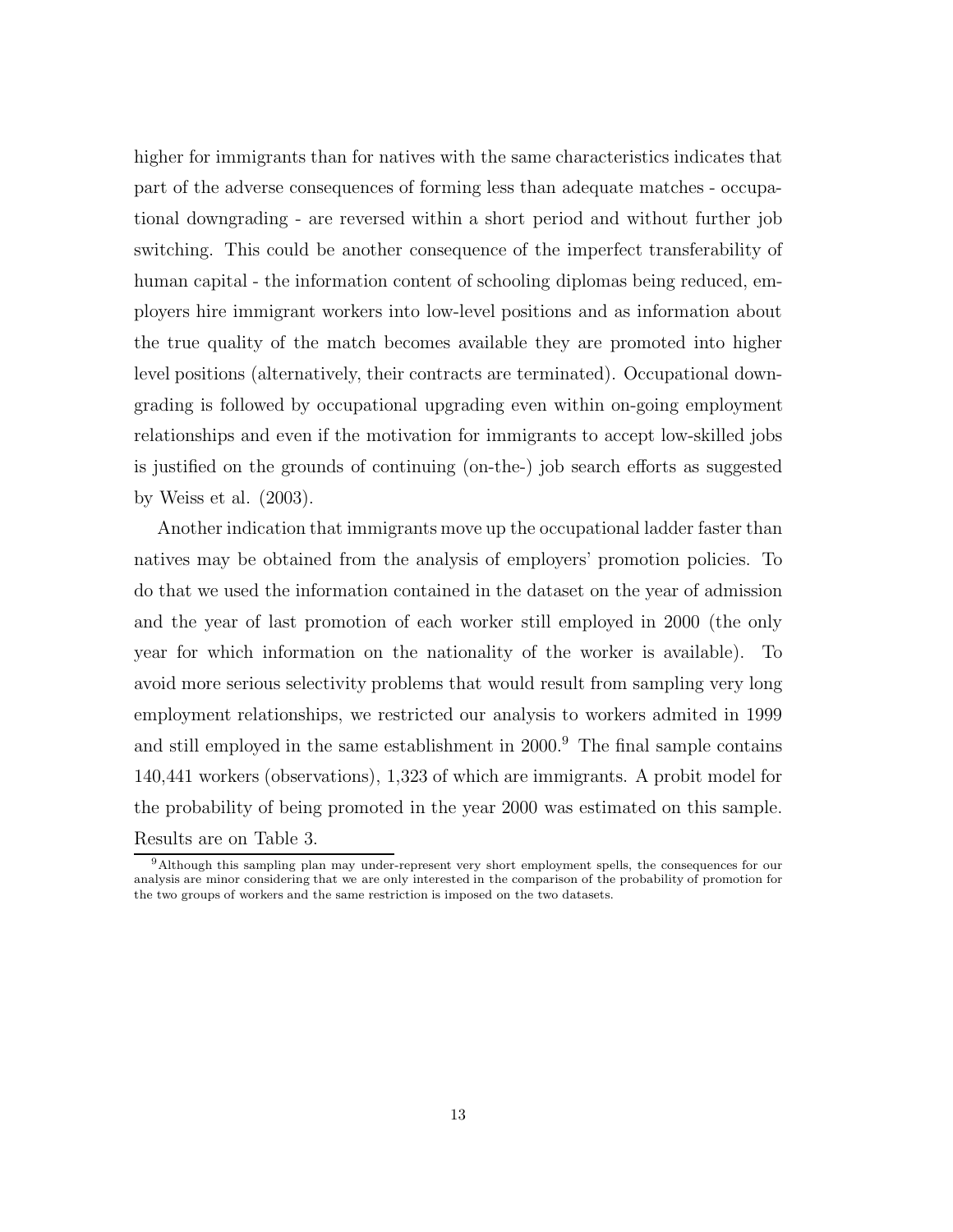higher for immigrants than for natives with the same characteristics indicates that part of the adverse consequences of forming less than adequate matches - occupational downgrading - are reversed within a short period and without further job switching. This could be another consequence of the imperfect transferability of human capital - the information content of schooling diplomas being reduced, employers hire immigrant workers into low-level positions and as information about the true quality of the match becomes available they are promoted into higher level positions (alternatively, their contracts are terminated). Occupational downgrading is followed by occupational upgrading even within on-going employment relationships and even if the motivation for immigrants to accept low-skilled jobs is justified on the grounds of continuing (on-the-) job search efforts as suggested by Weiss et al. (2003).

Another indication that immigrants move up the occupational ladder faster than natives may be obtained from the analysis of employers' promotion policies. To do that we used the information contained in the dataset on the year of admission and the year of last promotion of each worker still employed in 2000 (the only year for which information on the nationality of the worker is available). To avoid more serious selectivity problems that would result from sampling very long employment relationships, we restricted our analysis to workers admited in 1999 and still employed in the same establishment in 2000.<sup>9</sup> The final sample contains 140,441 workers (observations), 1,323 of which are immigrants. A probit model for the probability of being promoted in the year 2000 was estimated on this sample. Results are on Table 3.

<sup>9</sup>Although this sampling plan may under-represent very short employment spells, the consequences for our analysis are minor considering that we are only interested in the comparison of the probability of promotion for the two groups of workers and the same restriction is imposed on the two datasets.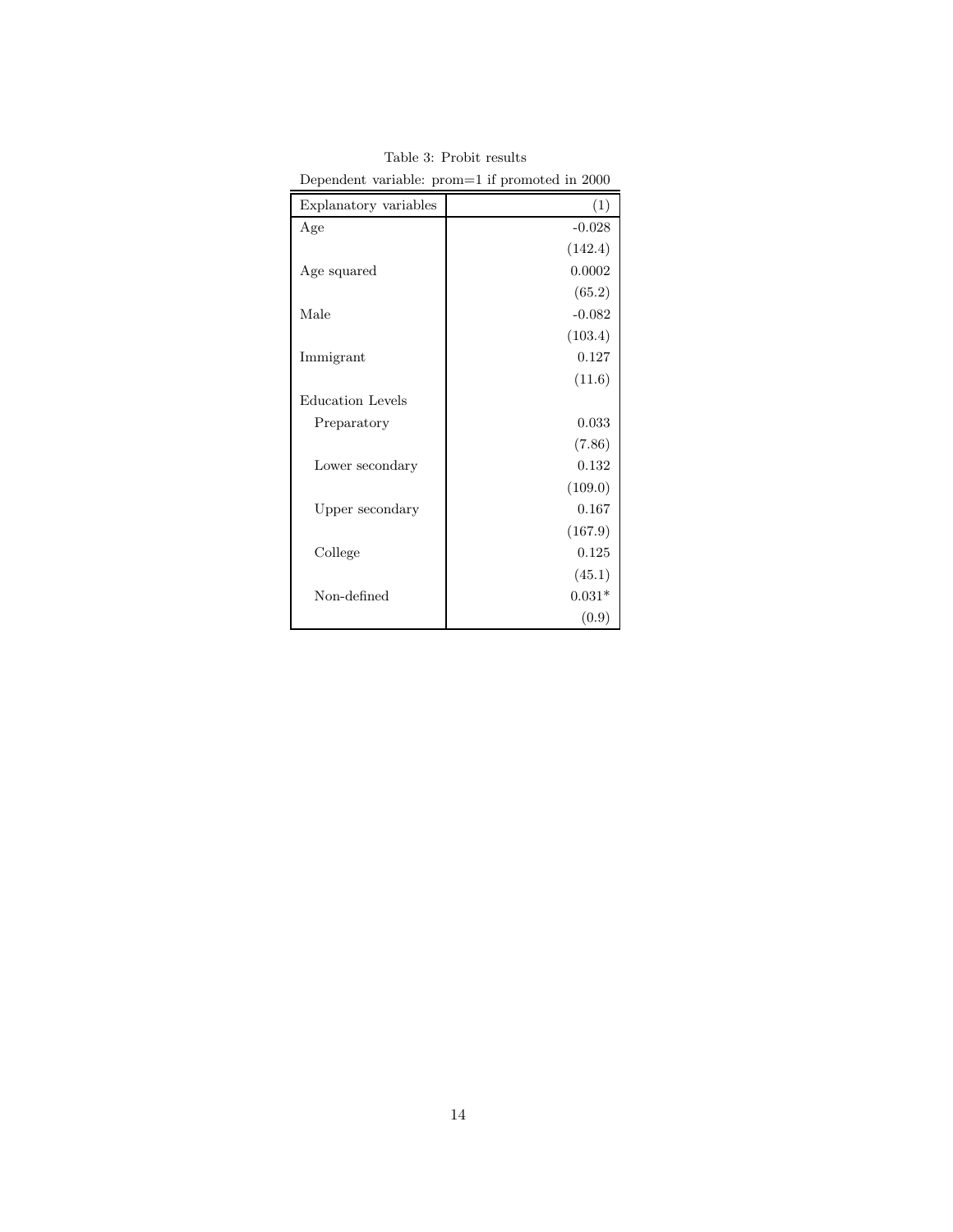| Explanatory variables   | (1)      |
|-------------------------|----------|
| Age                     | $-0.028$ |
|                         | (142.4)  |
| Age squared             | 0.0002   |
|                         | (65.2)   |
| Male                    | $-0.082$ |
|                         | (103.4)  |
| Immigrant               | 0.127    |
|                         | (11.6)   |
| <b>Education Levels</b> |          |
| Preparatory             | 0.033    |
|                         | (7.86)   |
| Lower secondary         | 0.132    |
|                         | (109.0)  |
| Upper secondary         | 0.167    |
|                         | (167.9)  |
| College                 | 0.125    |
|                         | (45.1)   |
| Non-defined             | $0.031*$ |
|                         | (0.9)    |

Table 3: Probit results Dependent variable: prom=1 if promoted in 2000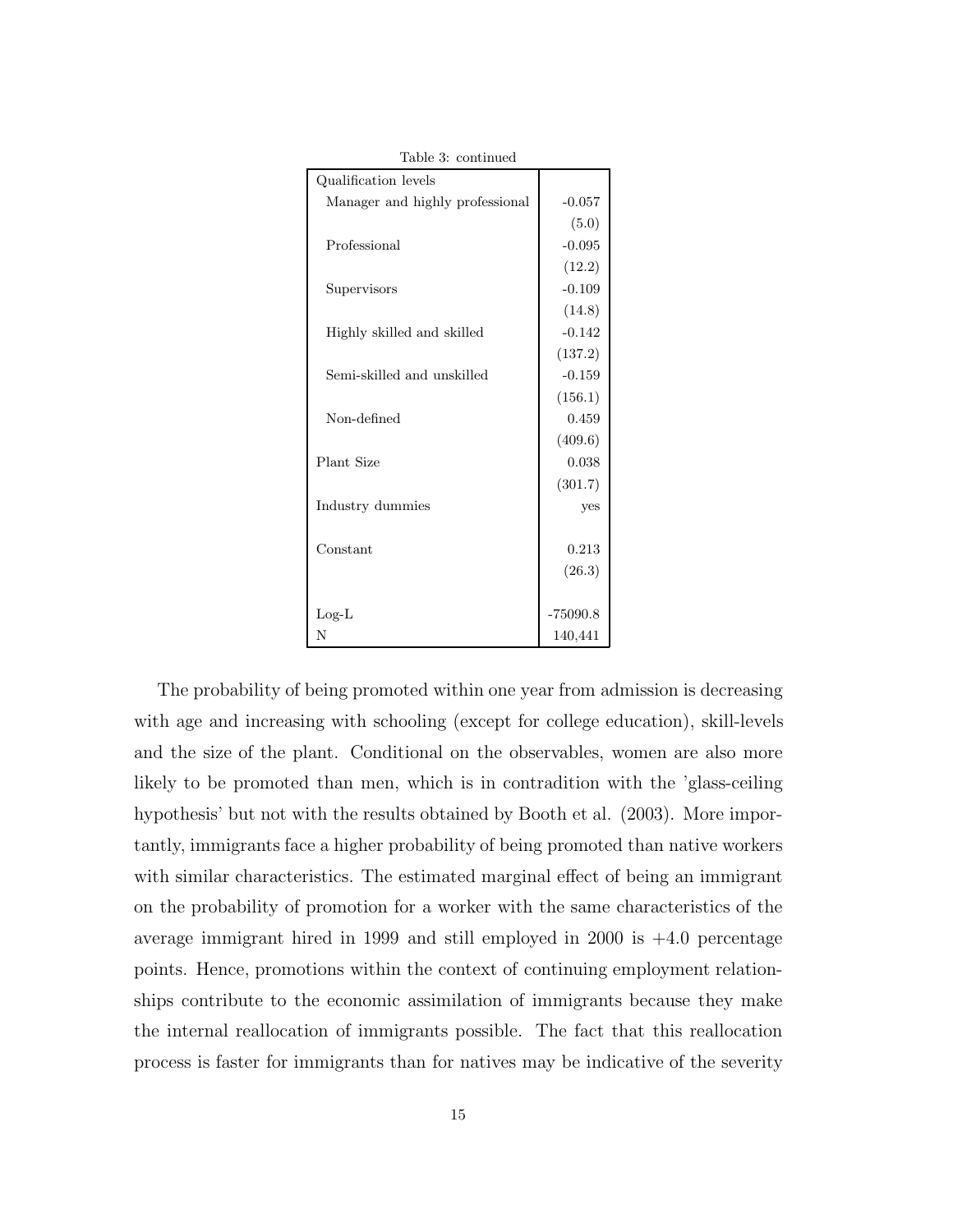| rable 3: continued              |            |
|---------------------------------|------------|
| Qualification levels            |            |
| Manager and highly professional | $-0.057$   |
|                                 | (5.0)      |
| Professional                    | $-0.095$   |
|                                 | (12.2)     |
| Supervisors                     | $-0.109$   |
|                                 | (14.8)     |
| Highly skilled and skilled      | $-0.142$   |
|                                 | (137.2)    |
| Semi-skilled and unskilled      | $-0.159$   |
|                                 | (156.1)    |
| Non-defined                     | 0.459      |
|                                 | (409.6)    |
| Plant Size                      | 0.038      |
|                                 | (301.7)    |
| Industry dummies                | yes        |
|                                 |            |
| Constant                        | 0.213      |
|                                 | (26.3)     |
|                                 |            |
| $Log-L$                         | $-75090.8$ |
| N                               | 140,441    |

The probability of being promoted within one year from admission is decreasing with age and increasing with schooling (except for college education), skill-levels and the size of the plant. Conditional on the observables, women are also more likely to be promoted than men, which is in contradition with the 'glass-ceiling hypothesis' but not with the results obtained by Booth et al. (2003). More importantly, immigrants face a higher probability of being promoted than native workers with similar characteristics. The estimated marginal effect of being an immigrant on the probability of promotion for a worker with the same characteristics of the average immigrant hired in 1999 and still employed in 2000 is +4.0 percentage points. Hence, promotions within the context of continuing employment relationships contribute to the economic assimilation of immigrants because they make the internal reallocation of immigrants possible. The fact that this reallocation process is faster for immigrants than for natives may be indicative of the severity

Table 3: continued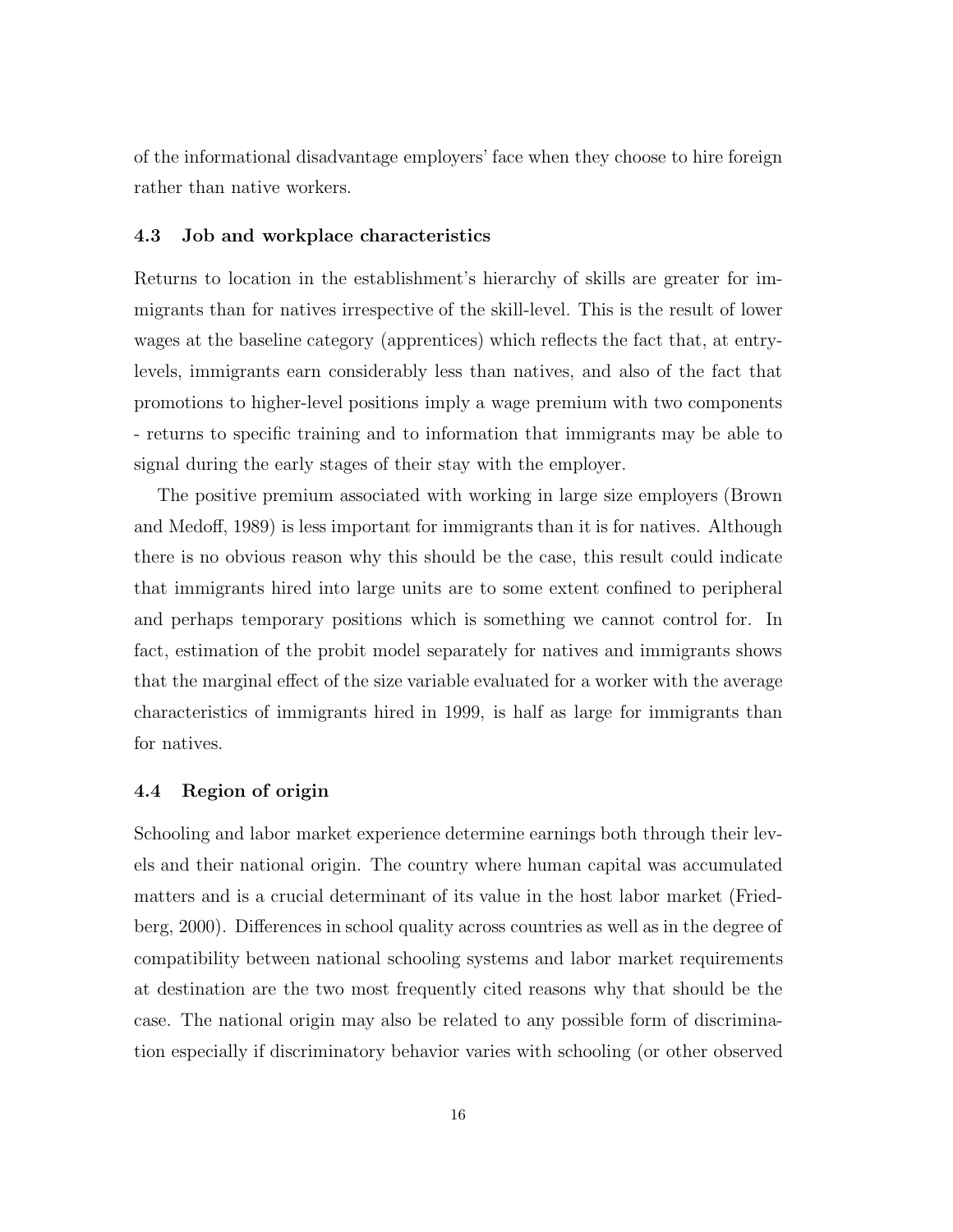of the informational disadvantage employers' face when they choose to hire foreign rather than native workers.

#### 4.3 Job and workplace characteristics

Returns to location in the establishment's hierarchy of skills are greater for immigrants than for natives irrespective of the skill-level. This is the result of lower wages at the baseline category (apprentices) which reflects the fact that, at entrylevels, immigrants earn considerably less than natives, and also of the fact that promotions to higher-level positions imply a wage premium with two components - returns to specific training and to information that immigrants may be able to signal during the early stages of their stay with the employer.

The positive premium associated with working in large size employers (Brown and Medoff, 1989) is less important for immigrants than it is for natives. Although there is no obvious reason why this should be the case, this result could indicate that immigrants hired into large units are to some extent confined to peripheral and perhaps temporary positions which is something we cannot control for. In fact, estimation of the probit model separately for natives and immigrants shows that the marginal effect of the size variable evaluated for a worker with the average characteristics of immigrants hired in 1999, is half as large for immigrants than for natives.

## 4.4 Region of origin

Schooling and labor market experience determine earnings both through their levels and their national origin. The country where human capital was accumulated matters and is a crucial determinant of its value in the host labor market (Friedberg, 2000). Differences in school quality across countries as well as in the degree of compatibility between national schooling systems and labor market requirements at destination are the two most frequently cited reasons why that should be the case. The national origin may also be related to any possible form of discrimination especially if discriminatory behavior varies with schooling (or other observed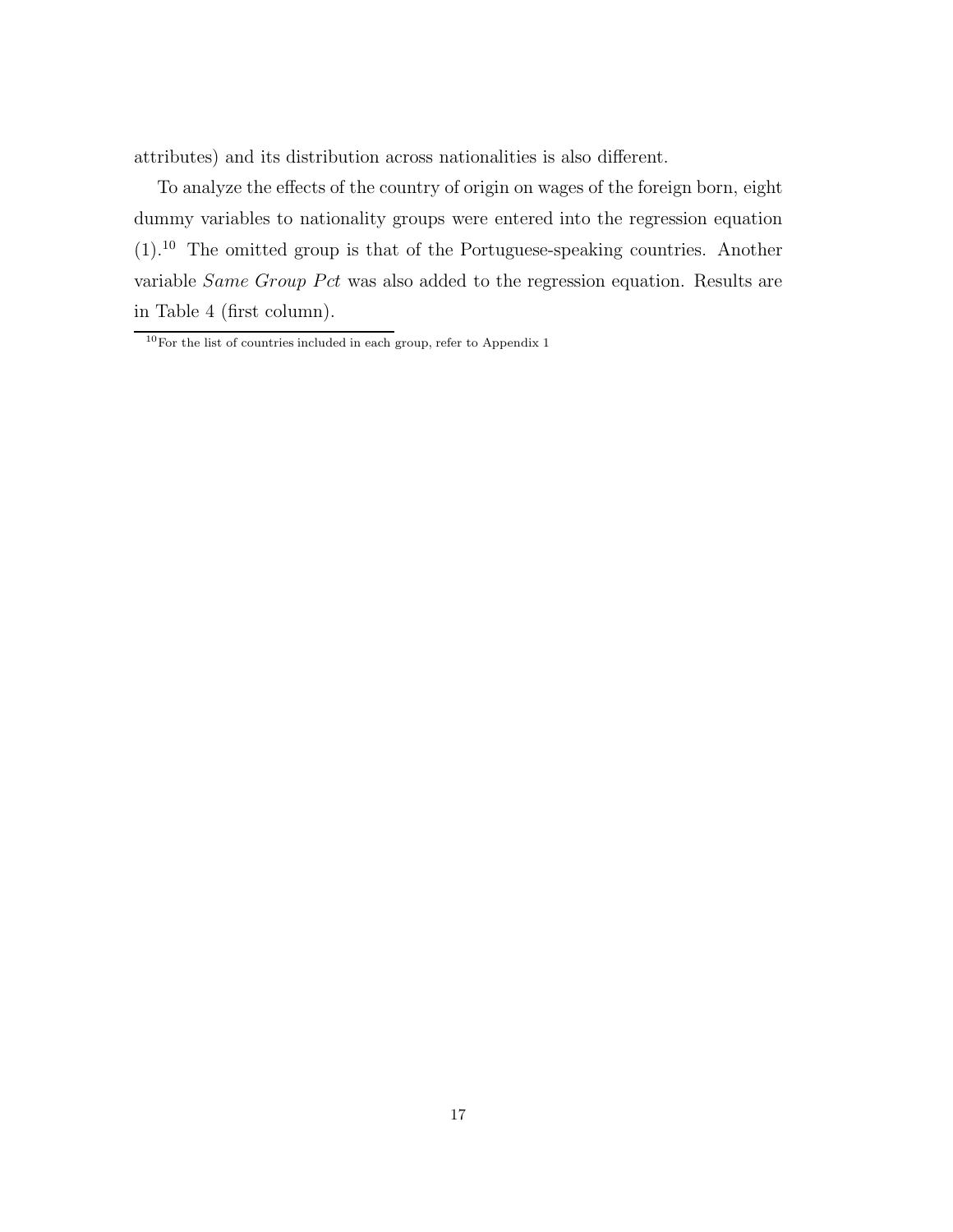attributes) and its distribution across nationalities is also different.

To analyze the effects of the country of origin on wages of the foreign born, eight dummy variables to nationality groups were entered into the regression equation (1).<sup>10</sup> The omitted group is that of the Portuguese-speaking countries. Another variable *Same Group Pct* was also added to the regression equation. Results are in Table 4 (first column).

 $10$ For the list of countries included in each group, refer to Appendix 1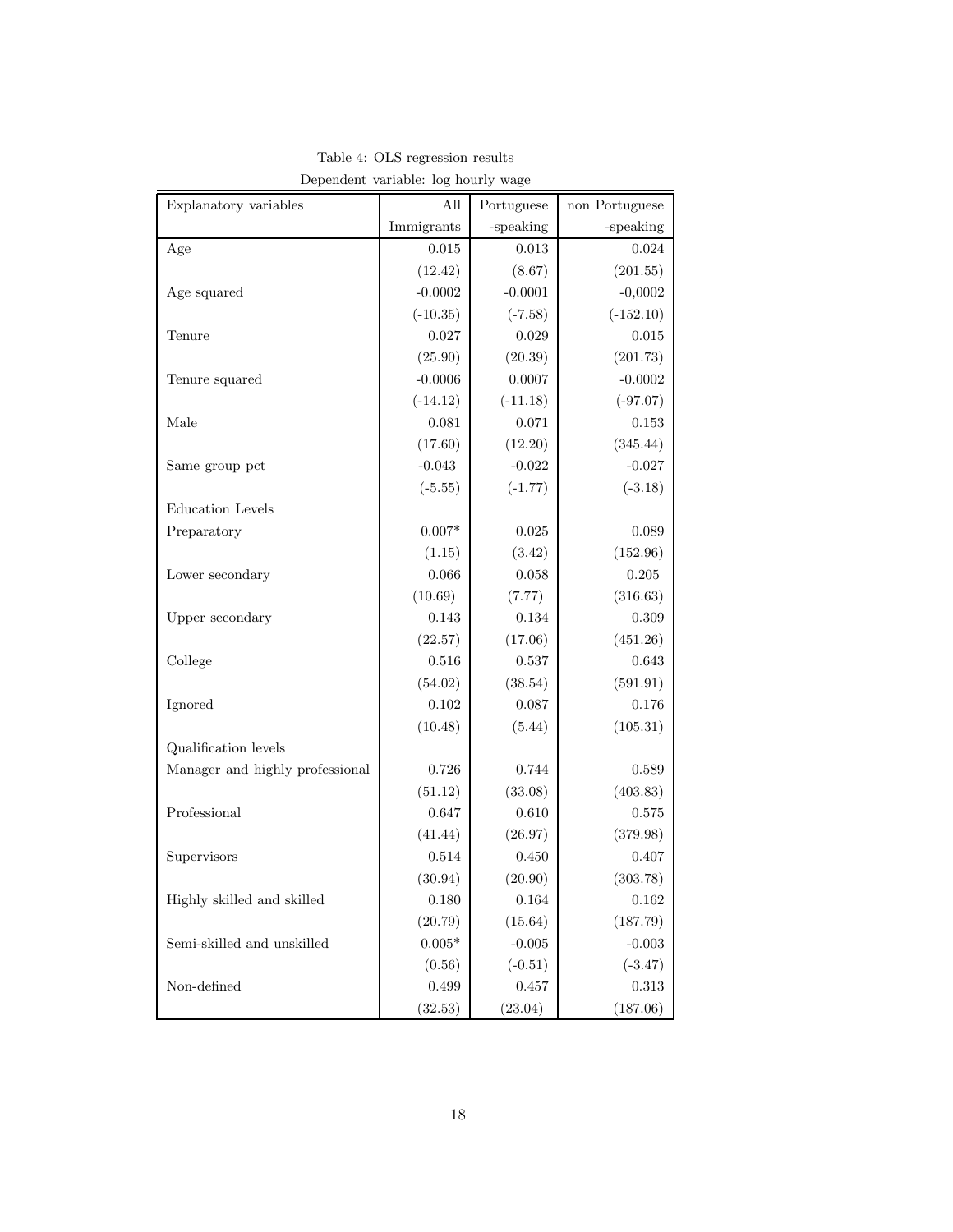| Explanatory variables           | All            | Portuguese | non Portuguese |
|---------------------------------|----------------|------------|----------------|
|                                 | Immigrants     | -speaking  | -speaking      |
| Age                             | 0.015          | 0.013      | 0.024          |
|                                 | (12.42)        | (8.67)     | (201.55)       |
| Age squared                     | $-0.0002$      | $-0.0001$  | $-0,0002$      |
|                                 | $(-10.35)$     | $(-7.58)$  | $(-152.10)$    |
| Tenure                          | 0.027          | 0.029      | 0.015          |
|                                 | (25.90)        | (20.39)    | (201.73)       |
| Tenure squared                  | $-0.0006$      | 0.0007     | $-0.0002$      |
|                                 | $(-14.12)$     | $(-11.18)$ | $(-97.07)$     |
| Male                            | 0.081          | 0.071      | 0.153          |
|                                 | (17.60)        | (12.20)    | (345.44)       |
| Same group pct                  | $-0.043$       | $-0.022$   | $-0.027$       |
|                                 | $(-5.55)$      | $(-1.77)$  | $(-3.18)$      |
| Education Levels                |                |            |                |
| Preparatory                     | $0.007*$       | 0.025      | 0.089          |
|                                 | (1.15)         | (3.42)     | (152.96)       |
| Lower secondary                 | 0.066          | 0.058      | 0.205          |
|                                 | (10.69)        | (7.77)     | (316.63)       |
| Upper secondary                 | 0.143          | 0.134      | 0.309          |
|                                 | (22.57)        | (17.06)    | (451.26)       |
| College                         | 0.516          | 0.537      | 0.643          |
|                                 | (54.02)        | (38.54)    | (591.91)       |
| Ignored                         | 0.102          | 0.087      | 0.176          |
|                                 | (10.48)        | (5.44)     | (105.31)       |
| Qualification levels            |                |            |                |
| Manager and highly professional | 0.726          | 0.744      | 0.589          |
|                                 | (51.12)        | (33.08)    | (403.83)       |
| Professional                    | 0.647          | 0.610      | 0.575          |
|                                 | (41.44)        | (26.97)    | (379.98)       |
| Supervisors                     | 0.514          | 0.450      | 0.407          |
|                                 | (30.94)        | (20.90)    | (303.78)       |
| Highly skilled and skilled      | 0.180          | 0.164      | 0.162          |
|                                 | (20.79)        | (15.64)    | (187.79)       |
| Semi-skilled and unskilled      | $0.005^{\ast}$ | $-0.005$   | $-0.003$       |
|                                 | (0.56)         | $(-0.51)$  | $(-3.47)$      |
| Non-defined                     | $\,0.499\,$    | $0.457\,$  | $\rm 0.313$    |
|                                 | (32.53)        | (23.04)    | (187.06)       |

Table 4: OLS regression results Dependent variable: log hourly wage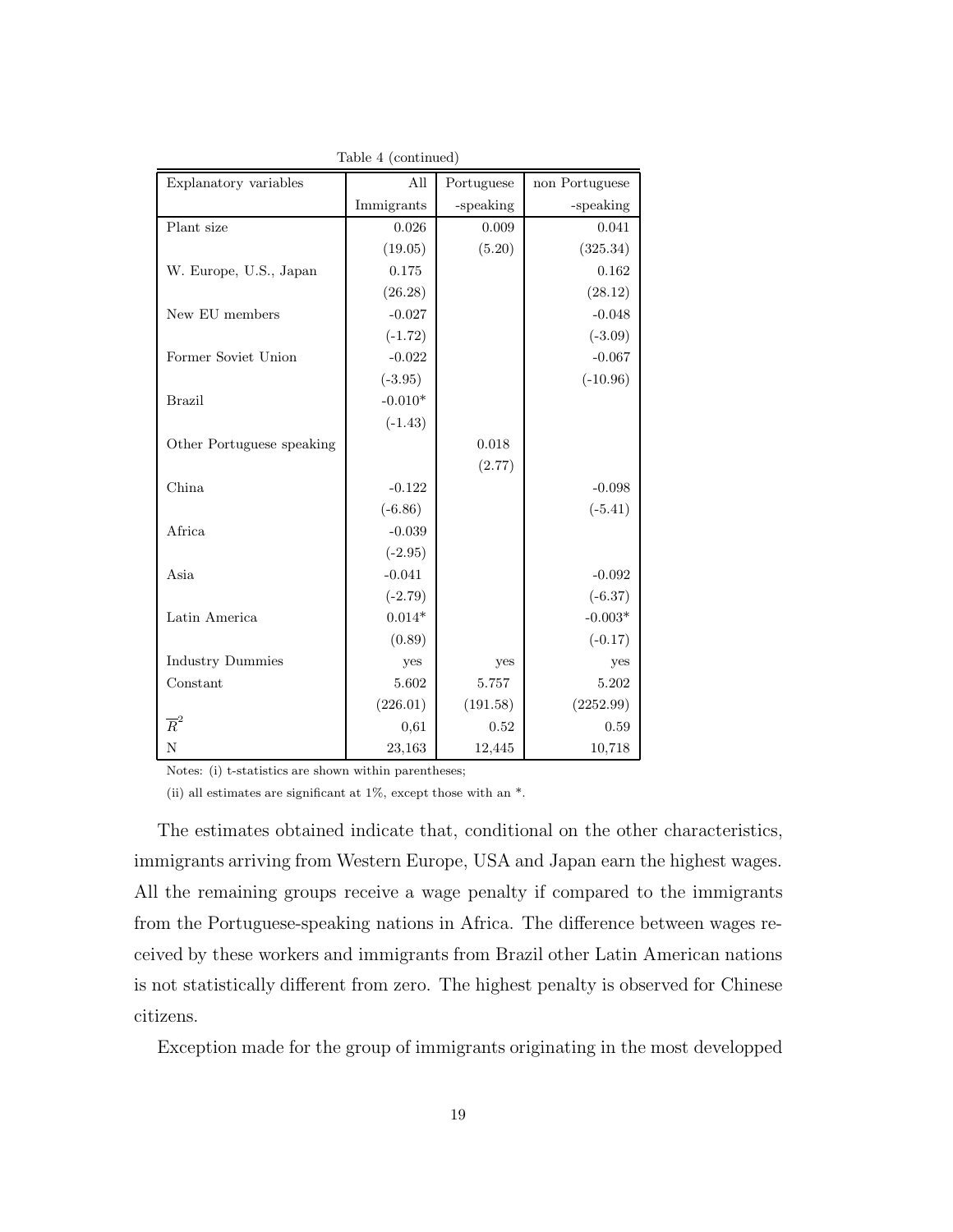| Explanatory variables     | All        | Portuguese | non Portuguese |
|---------------------------|------------|------------|----------------|
|                           | Immigrants | -speaking  | -speaking      |
| Plant size                | 0.026      | 0.009      | 0.041          |
|                           | (19.05)    | (5.20)     | (325.34)       |
| W. Europe, U.S., Japan    | 0.175      |            | 0.162          |
|                           | (26.28)    |            | (28.12)        |
| New EU members            | $-0.027$   |            | $-0.048$       |
|                           | $(-1.72)$  |            | $(-3.09)$      |
| Former Soviet Union       | $-0.022$   |            | $-0.067$       |
|                           | $(-3.95)$  |            | $(-10.96)$     |
| <b>Brazil</b>             | $-0.010*$  |            |                |
|                           | $(-1.43)$  |            |                |
| Other Portuguese speaking |            | 0.018      |                |
|                           |            | (2.77)     |                |
| China                     | $-0.122$   |            | $-0.098$       |
|                           | $(-6.86)$  |            | $(-5.41)$      |
| Africa                    | $-0.039$   |            |                |
|                           | $(-2.95)$  |            |                |
| Asia                      | $-0.041$   |            | $-0.092$       |
|                           | $(-2.79)$  |            | $(-6.37)$      |
| Latin America             | $0.014*$   |            | $-0.003*$      |
|                           | (0.89)     |            | $(-0.17)$      |
| <b>Industry Dummies</b>   | yes        | yes        | yes            |
| Constant                  | 5.602      | 5.757      | 5.202          |
|                           | (226.01)   | (191.58)   | (2252.99)      |
| $\overline{R}^2$          | 0,61       | 0.52       | 0.59           |
| $\mathbf N$               | 23,163     | 12,445     | 10,718         |

Table 4 (continued)

Notes: (i) t-statistics are shown within parentheses;

(ii) all estimates are significant at 1%, except those with an \*.

The estimates obtained indicate that, conditional on the other characteristics, immigrants arriving from Western Europe, USA and Japan earn the highest wages. All the remaining groups receive a wage penalty if compared to the immigrants from the Portuguese-speaking nations in Africa. The difference between wages received by these workers and immigrants from Brazil other Latin American nations is not statistically different from zero. The highest penalty is observed for Chinese citizens.

Exception made for the group of immigrants originating in the most developped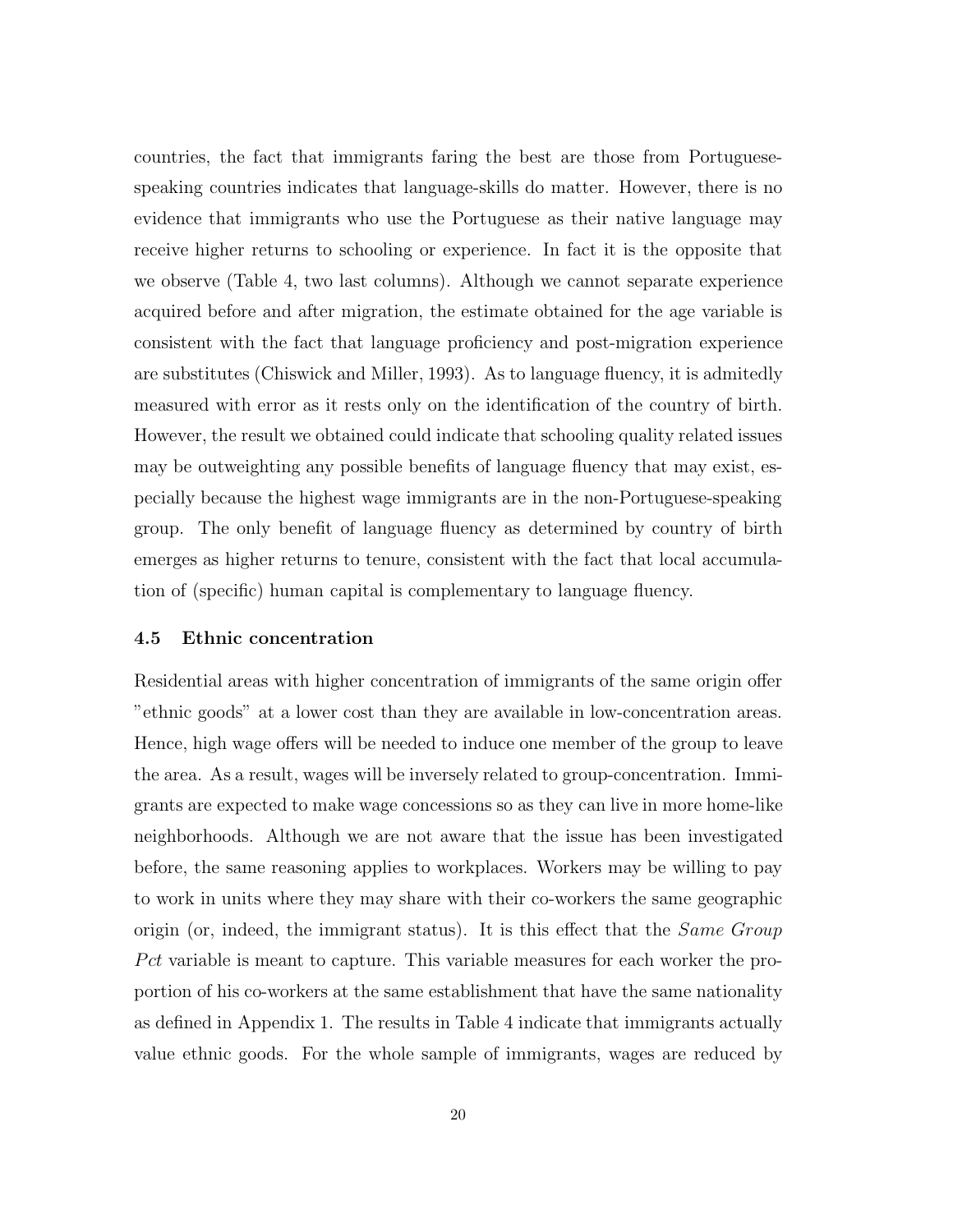countries, the fact that immigrants faring the best are those from Portuguesespeaking countries indicates that language-skills do matter. However, there is no evidence that immigrants who use the Portuguese as their native language may receive higher returns to schooling or experience. In fact it is the opposite that we observe (Table 4, two last columns). Although we cannot separate experience acquired before and after migration, the estimate obtained for the age variable is consistent with the fact that language proficiency and post-migration experience are substitutes (Chiswick and Miller, 1993). As to language fluency, it is admitedly measured with error as it rests only on the identification of the country of birth. However, the result we obtained could indicate that schooling quality related issues may be outweighting any possible benefits of language fluency that may exist, especially because the highest wage immigrants are in the non-Portuguese-speaking group. The only benefit of language fluency as determined by country of birth emerges as higher returns to tenure, consistent with the fact that local accumulation of (specific) human capital is complementary to language fluency.

#### 4.5 Ethnic concentration

Residential areas with higher concentration of immigrants of the same origin offer "ethnic goods" at a lower cost than they are available in low-concentration areas. Hence, high wage offers will be needed to induce one member of the group to leave the area. As a result, wages will be inversely related to group-concentration. Immigrants are expected to make wage concessions so as they can live in more home-like neighborhoods. Although we are not aware that the issue has been investigated before, the same reasoning applies to workplaces. Workers may be willing to pay to work in units where they may share with their co-workers the same geographic origin (or, indeed, the immigrant status). It is this effect that the *Same Group*  $Pct$  variable is meant to capture. This variable measures for each worker the proportion of his co-workers at the same establishment that have the same nationality as defined in Appendix 1. The results in Table 4 indicate that immigrants actually value ethnic goods. For the whole sample of immigrants, wages are reduced by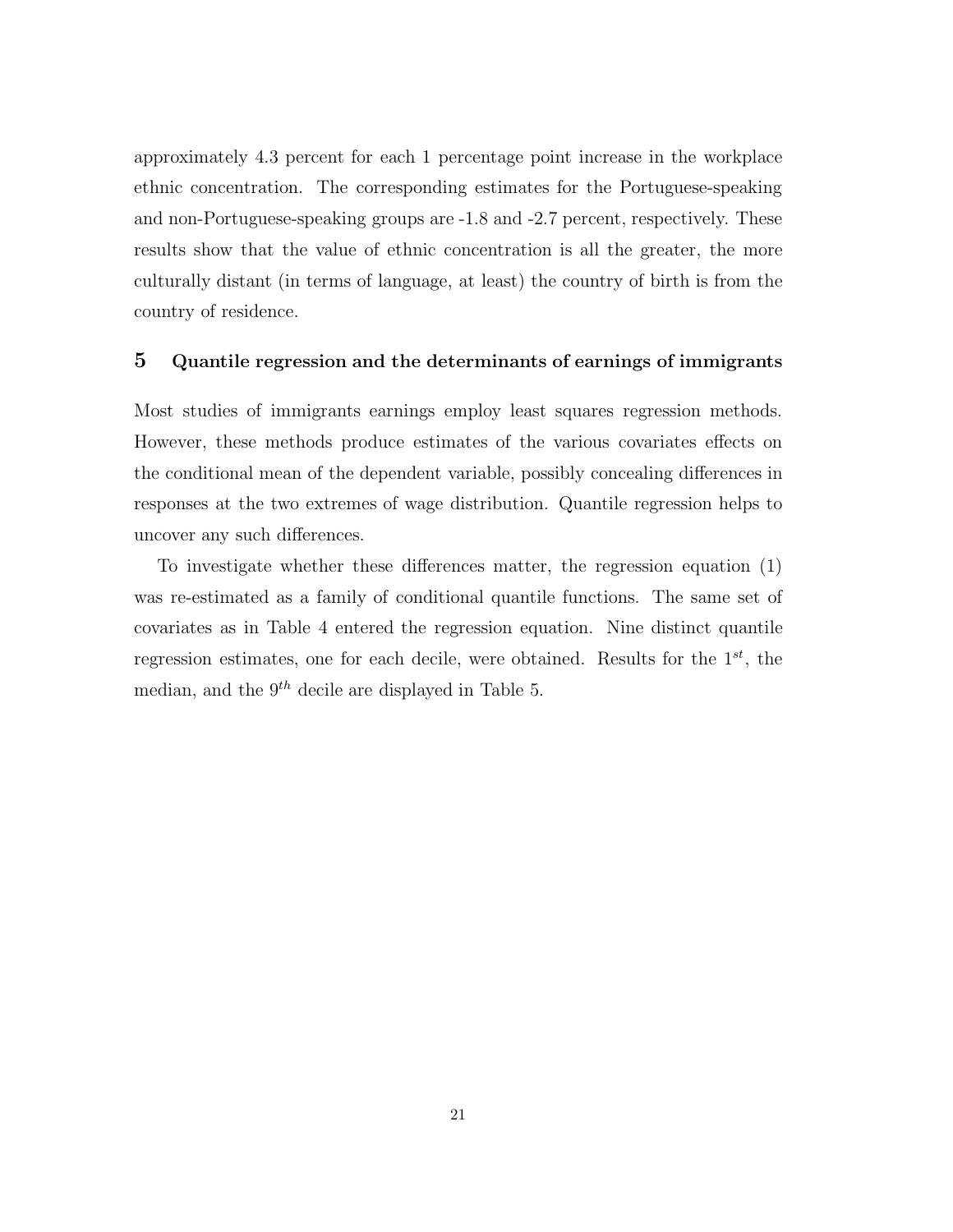approximately 4.3 percent for each 1 percentage point increase in the workplace ethnic concentration. The corresponding estimates for the Portuguese-speaking and non-Portuguese-speaking groups are -1.8 and -2.7 percent, respectively. These results show that the value of ethnic concentration is all the greater, the more culturally distant (in terms of language, at least) the country of birth is from the country of residence.

## 5 Quantile regression and the determinants of earnings of immigrants

Most studies of immigrants earnings employ least squares regression methods. However, these methods produce estimates of the various covariates effects on the conditional mean of the dependent variable, possibly concealing differences in responses at the two extremes of wage distribution. Quantile regression helps to uncover any such differences.

To investigate whether these differences matter, the regression equation (1) was re-estimated as a family of conditional quantile functions. The same set of covariates as in Table 4 entered the regression equation. Nine distinct quantile regression estimates, one for each decile, were obtained. Results for the  $1^{st}$ , the median, and the  $9<sup>th</sup>$  decile are displayed in Table 5.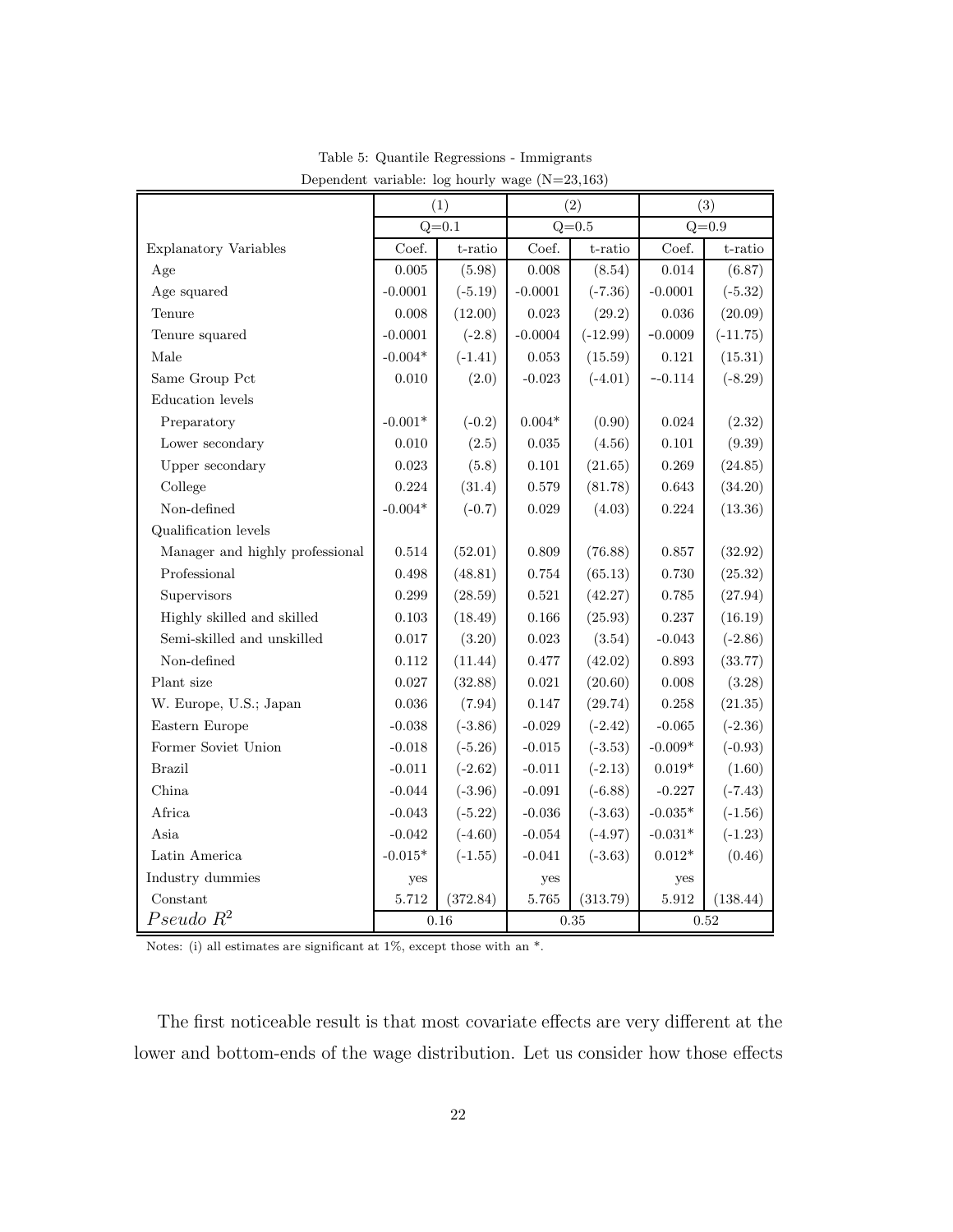|                                 | (1)         |           | (2)         |            | (3)            |            |
|---------------------------------|-------------|-----------|-------------|------------|----------------|------------|
|                                 | $Q = 0.1$   |           | $Q = 0.5$   |            | $Q = 0.9$      |            |
| <b>Explanatory Variables</b>    | Coef.       | t-ratio   | Coef.       | t-ratio    | Coef.          | t-ratio    |
| Age                             | 0.005       | (5.98)    | 0.008       | (8.54)     | 0.014          | (6.87)     |
| Age squared                     | $-0.0001$   | $(-5.19)$ | $-0.0001$   | $(-7.36)$  | $-0.0001$      | $(-5.32)$  |
| Tenure                          | 0.008       | (12.00)   | 0.023       | (29.2)     | 0.036          | (20.09)    |
| Tenure squared                  | $-0.0001$   | $(-2.8)$  | $-0.0004$   | $(-12.99)$ | $-0.0009$      | $(-11.75)$ |
| Male                            | $-0.004*$   | $(-1.41)$ | 0.053       | (15.59)    | 0.121          | (15.31)    |
| Same Group Pct                  | 0.010       | (2.0)     | $-0.023$    | $(-4.01)$  | $-0.114$       | $(-8.29)$  |
| Education levels                |             |           |             |            |                |            |
| Preparatory                     | $-0.001*$   | $(-0.2)$  | $0.004*$    | (0.90)     | 0.024          | (2.32)     |
| Lower secondary                 | 0.010       | (2.5)     | $\,0.035\,$ | (4.56)     | $0.101\,$      | (9.39)     |
| Upper secondary                 | $\,0.023\,$ | (5.8)     | $0.101\,$   | (21.65)    | 0.269          | (24.85)    |
| College                         | 0.224       | (31.4)    | $0.579\,$   | (81.78)    | $\,0.643\,$    | (34.20)    |
| Non-defined                     | $-0.004*$   | $(-0.7)$  | 0.029       | (4.03)     | 0.224          | (13.36)    |
| Qualification levels            |             |           |             |            |                |            |
| Manager and highly professional | 0.514       | (52.01)   | 0.809       | (76.88)    | 0.857          | (32.92)    |
| Professional                    | 0.498       | (48.81)   | 0.754       | (65.13)    | 0.730          | (25.32)    |
| Supervisors                     | 0.299       | (28.59)   | 0.521       | (42.27)    | 0.785          | (27.94)    |
| Highly skilled and skilled      | 0.103       | (18.49)   | 0.166       | (25.93)    | 0.237          | (16.19)    |
| Semi-skilled and unskilled      | 0.017       | (3.20)    | 0.023       | (3.54)     | $-0.043$       | $(-2.86)$  |
| Non-defined                     | 0.112       | (11.44)   | 0.477       | (42.02)    | 0.893          | (33.77)    |
| Plant size                      | 0.027       | (32.88)   | $\,0.021\,$ | (20.60)    | $0.008\,$      | (3.28)     |
| W. Europe, U.S.; Japan          | 0.036       | (7.94)    | 0.147       | (29.74)    | 0.258          | (21.35)    |
| Eastern Europe                  | $-0.038$    | $(-3.86)$ | $-0.029$    | $(-2.42)$  | $-0.065$       | $(-2.36)$  |
| Former Soviet Union             | $-0.018$    | $(-5.26)$ | $-0.015$    | $(-3.53)$  | $-0.009*$      | $(-0.93)$  |
| <b>Brazil</b>                   | $-0.011$    | $(-2.62)$ | $-0.011$    | $(-2.13)$  | $0.019*$       | (1.60)     |
| China                           | $-0.044$    | $(-3.96)$ | $-0.091$    | $(-6.88)$  | $-0.227$       | $(-7.43)$  |
| Africa                          | $-0.043$    | $(-5.22)$ | $-0.036$    | $(-3.63)$  | $-0.035*$      | $(-1.56)$  |
| Asia                            | $-0.042$    | $(-4.60)$ | $-0.054$    | $(-4.97)$  | $-0.031*$      | $(-1.23)$  |
| Latin America                   | $-0.015*$   | $(-1.55)$ | $-0.041$    | $(-3.63)$  | $0.012^{\ast}$ | (0.46)     |
| Industry dummies                | yes         |           | yes         |            | yes            |            |
| Constant                        | 5.712       | (372.84)  | 5.765       | (313.79)   | $5.912\,$      | (138.44)   |
| $Pseudo R^2$                    | 0.16        |           | $\rm 0.35$  |            | 0.52           |            |

Table 5: Quantile Regressions - Immigrants Dependent variable: log hourly wage (N=23,163)

Notes: (i) all estimates are significant at 1%, except those with an \*.

The first noticeable result is that most covariate effects are very different at the lower and bottom-ends of the wage distribution. Let us consider how those effects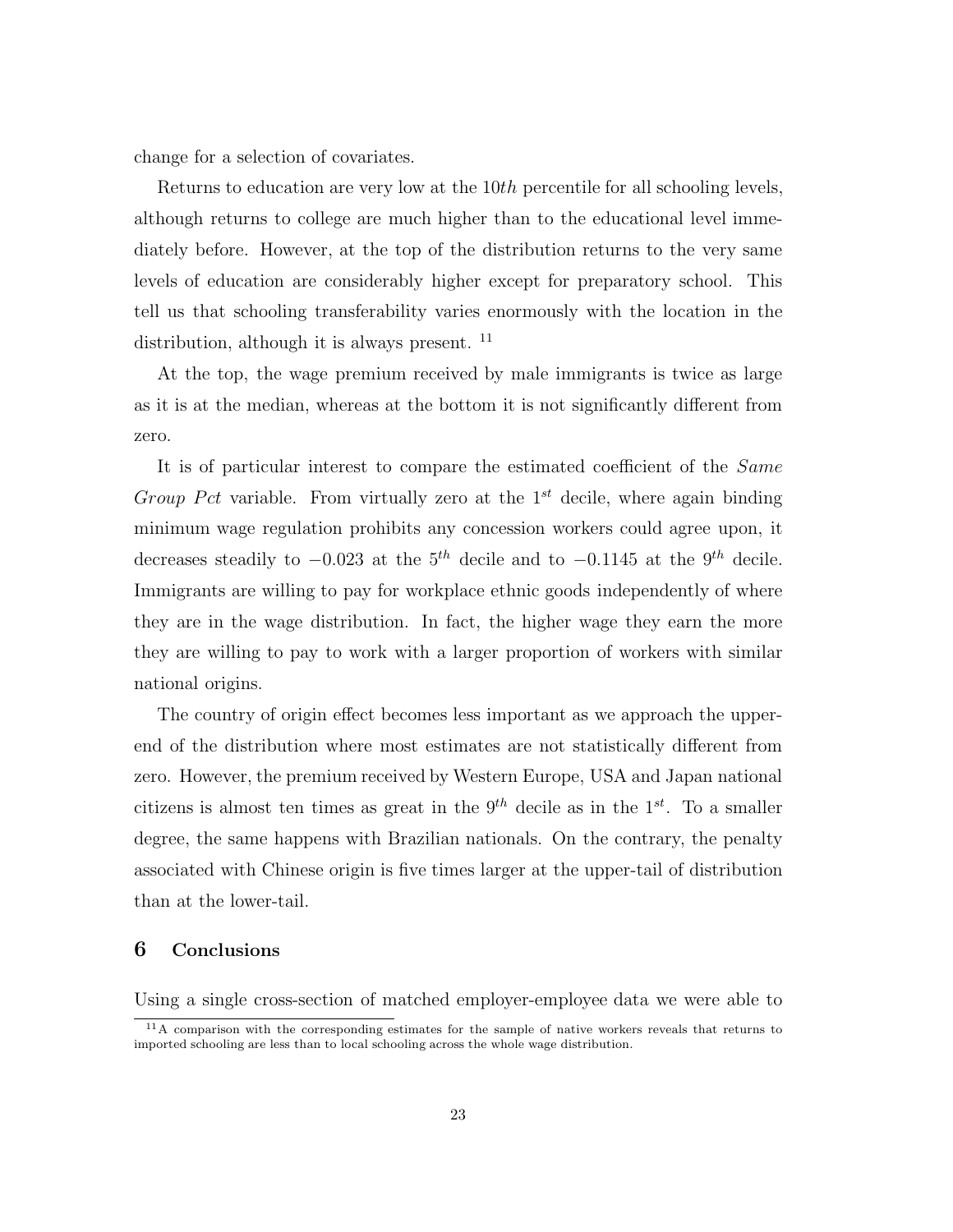change for a selection of covariates.

Returns to education are very low at the 10th percentile for all schooling levels, although returns to college are much higher than to the educational level immediately before. However, at the top of the distribution returns to the very same levels of education are considerably higher except for preparatory school. This tell us that schooling transferability varies enormously with the location in the distribution, although it is always present.  $^{11}$ 

At the top, the wage premium received by male immigrants is twice as large as it is at the median, whereas at the bottom it is not significantly different from zero.

It is of particular interest to compare the estimated coefficient of the Same Group Pct variable. From virtually zero at the  $1^{st}$  decile, where again binding minimum wage regulation prohibits any concession workers could agree upon, it decreases steadily to  $-0.023$  at the 5<sup>th</sup> decile and to  $-0.1145$  at the 9<sup>th</sup> decile. Immigrants are willing to pay for workplace ethnic goods independently of where they are in the wage distribution. In fact, the higher wage they earn the more they are willing to pay to work with a larger proportion of workers with similar national origins.

The country of origin effect becomes less important as we approach the upperend of the distribution where most estimates are not statistically different from zero. However, the premium received by Western Europe, USA and Japan national citizens is almost ten times as great in the  $9^{th}$  decile as in the  $1^{st}$ . To a smaller degree, the same happens with Brazilian nationals. On the contrary, the penalty associated with Chinese origin is five times larger at the upper-tail of distribution than at the lower-tail.

## 6 Conclusions

Using a single cross-section of matched employer-employee data we were able to

 $11A$  comparison with the corresponding estimates for the sample of native workers reveals that returns to imported schooling are less than to local schooling across the whole wage distribution.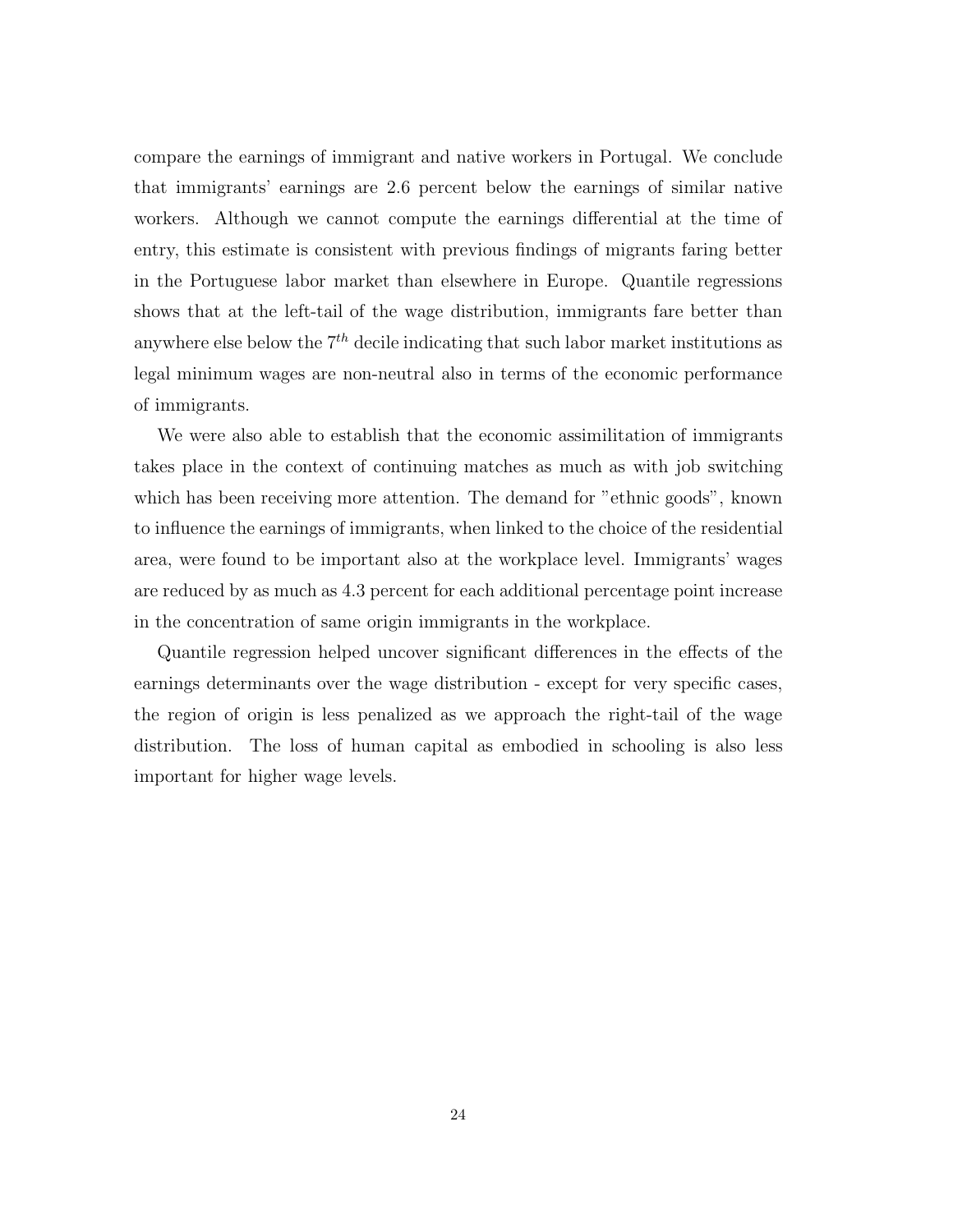compare the earnings of immigrant and native workers in Portugal. We conclude that immigrants' earnings are 2.6 percent below the earnings of similar native workers. Although we cannot compute the earnings differential at the time of entry, this estimate is consistent with previous findings of migrants faring better in the Portuguese labor market than elsewhere in Europe. Quantile regressions shows that at the left-tail of the wage distribution, immigrants fare better than anywhere else below the  $7<sup>th</sup>$  decile indicating that such labor market institutions as legal minimum wages are non-neutral also in terms of the economic performance of immigrants.

We were also able to establish that the economic assimilitation of immigrants takes place in the context of continuing matches as much as with job switching which has been receiving more attention. The demand for "ethnic goods", known to influence the earnings of immigrants, when linked to the choice of the residential area, were found to be important also at the workplace level. Immigrants' wages are reduced by as much as 4.3 percent for each additional percentage point increase in the concentration of same origin immigrants in the workplace.

Quantile regression helped uncover significant differences in the effects of the earnings determinants over the wage distribution - except for very specific cases, the region of origin is less penalized as we approach the right-tail of the wage distribution. The loss of human capital as embodied in schooling is also less important for higher wage levels.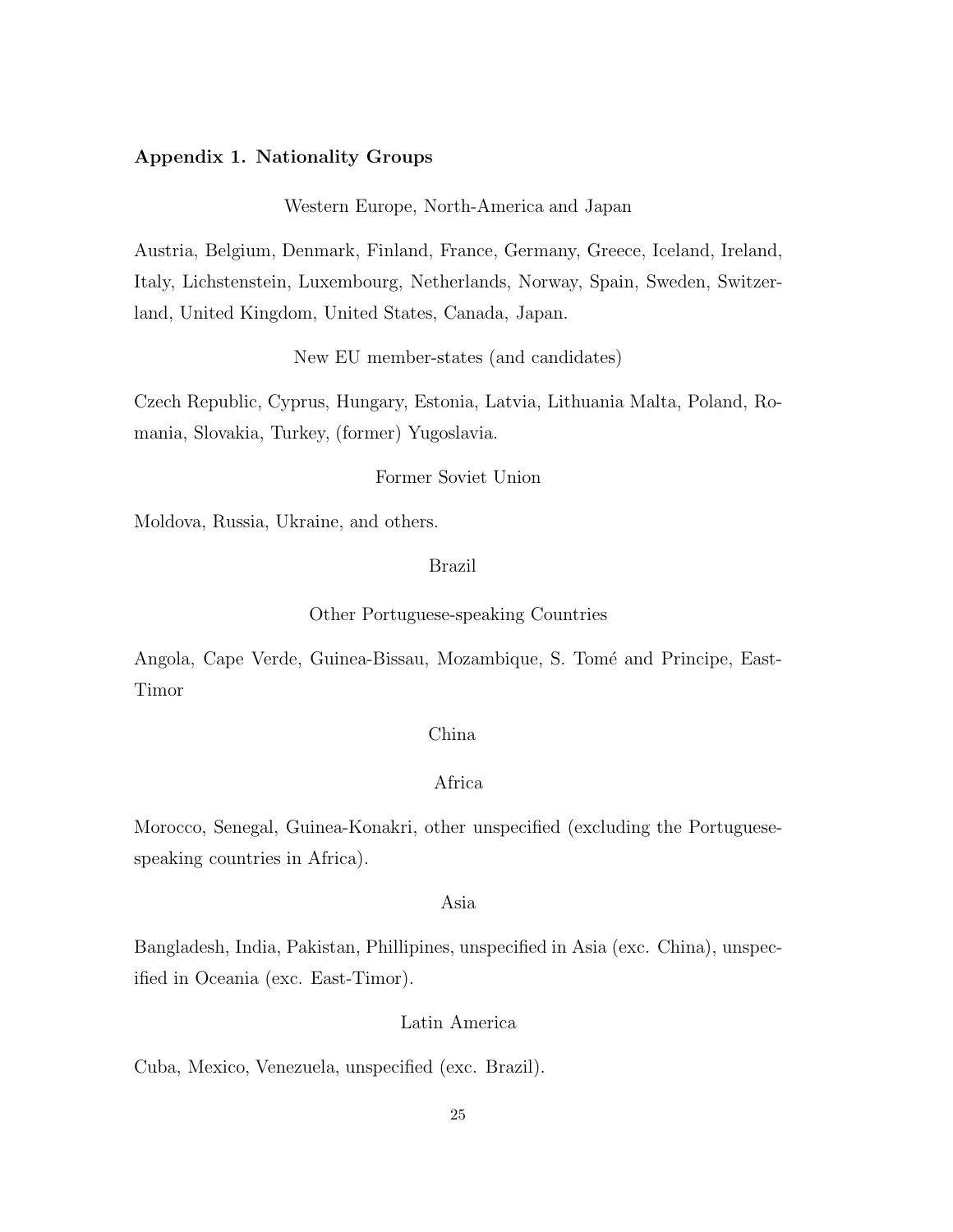#### Appendix 1. Nationality Groups

Western Europe, North-America and Japan

Austria, Belgium, Denmark, Finland, France, Germany, Greece, Iceland, Ireland, Italy, Lichstenstein, Luxembourg, Netherlands, Norway, Spain, Sweden, Switzerland, United Kingdom, United States, Canada, Japan.

New EU member-states (and candidates)

Czech Republic, Cyprus, Hungary, Estonia, Latvia, Lithuania Malta, Poland, Romania, Slovakia, Turkey, (former) Yugoslavia.

#### Former Soviet Union

Moldova, Russia, Ukraine, and others.

#### Brazil

#### Other Portuguese-speaking Countries

Angola, Cape Verde, Guinea-Bissau, Mozambique, S. Tomé and Principe, East-Timor

## China

#### Africa

Morocco, Senegal, Guinea-Konakri, other unspecified (excluding the Portuguesespeaking countries in Africa).

## Asia

Bangladesh, India, Pakistan, Phillipines, unspecified in Asia (exc. China), unspecified in Oceania (exc. East-Timor).

## Latin America

Cuba, Mexico, Venezuela, unspecified (exc. Brazil).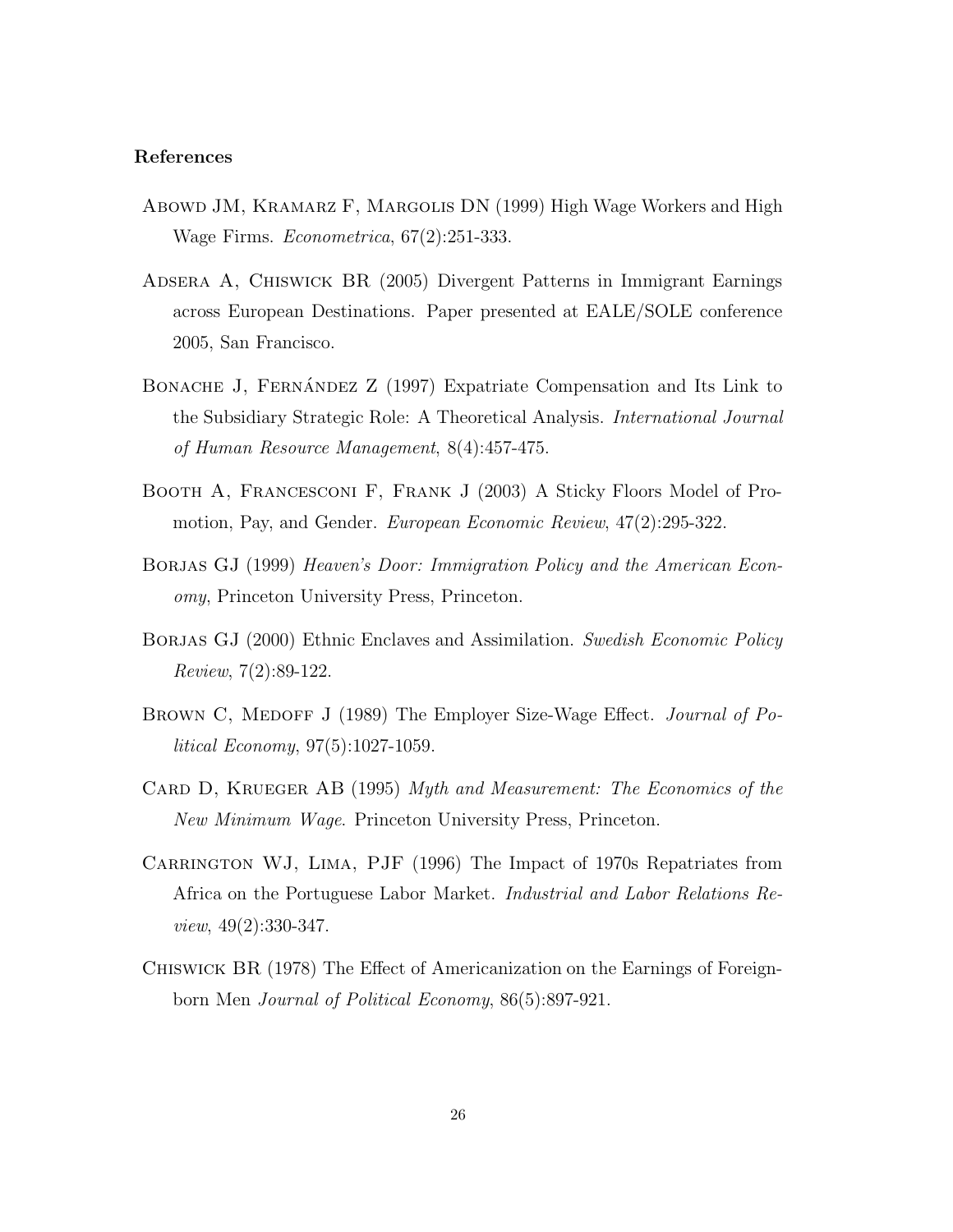#### References

- Abowd JM, Kramarz F, Margolis DN (1999) High Wage Workers and High Wage Firms. Econometrica, 67(2):251-333.
- Adsera A, Chiswick BR (2005) Divergent Patterns in Immigrant Earnings across European Destinations. Paper presented at EALE/SOLE conference 2005, San Francisco.
- BONACHE J, FERNÁNDEZ Z (1997) Expatriate Compensation and Its Link to the Subsidiary Strategic Role: A Theoretical Analysis. International Journal of Human Resource Management, 8(4):457-475.
- Booth A, Francesconi F, Frank J (2003) A Sticky Floors Model of Promotion, Pay, and Gender. European Economic Review, 47(2):295-322.
- BORJAS GJ (1999) Heaven's Door: Immigration Policy and the American Economy, Princeton University Press, Princeton.
- BORJAS GJ (2000) Ethnic Enclaves and Assimilation. Swedish Economic Policy Review, 7(2):89-122.
- BROWN C, MEDOFF J (1989) The Employer Size-Wage Effect. Journal of Political Economy, 97(5):1027-1059.
- CARD D, KRUEGER AB (1995) Myth and Measurement: The Economics of the New Minimum Wage. Princeton University Press, Princeton.
- CARRINGTON WJ, LIMA, PJF (1996) The Impact of 1970s Repatriates from Africa on the Portuguese Labor Market. Industrial and Labor Relations Review, 49(2):330-347.
- Chiswick BR (1978) The Effect of Americanization on the Earnings of Foreignborn Men Journal of Political Economy, 86(5):897-921.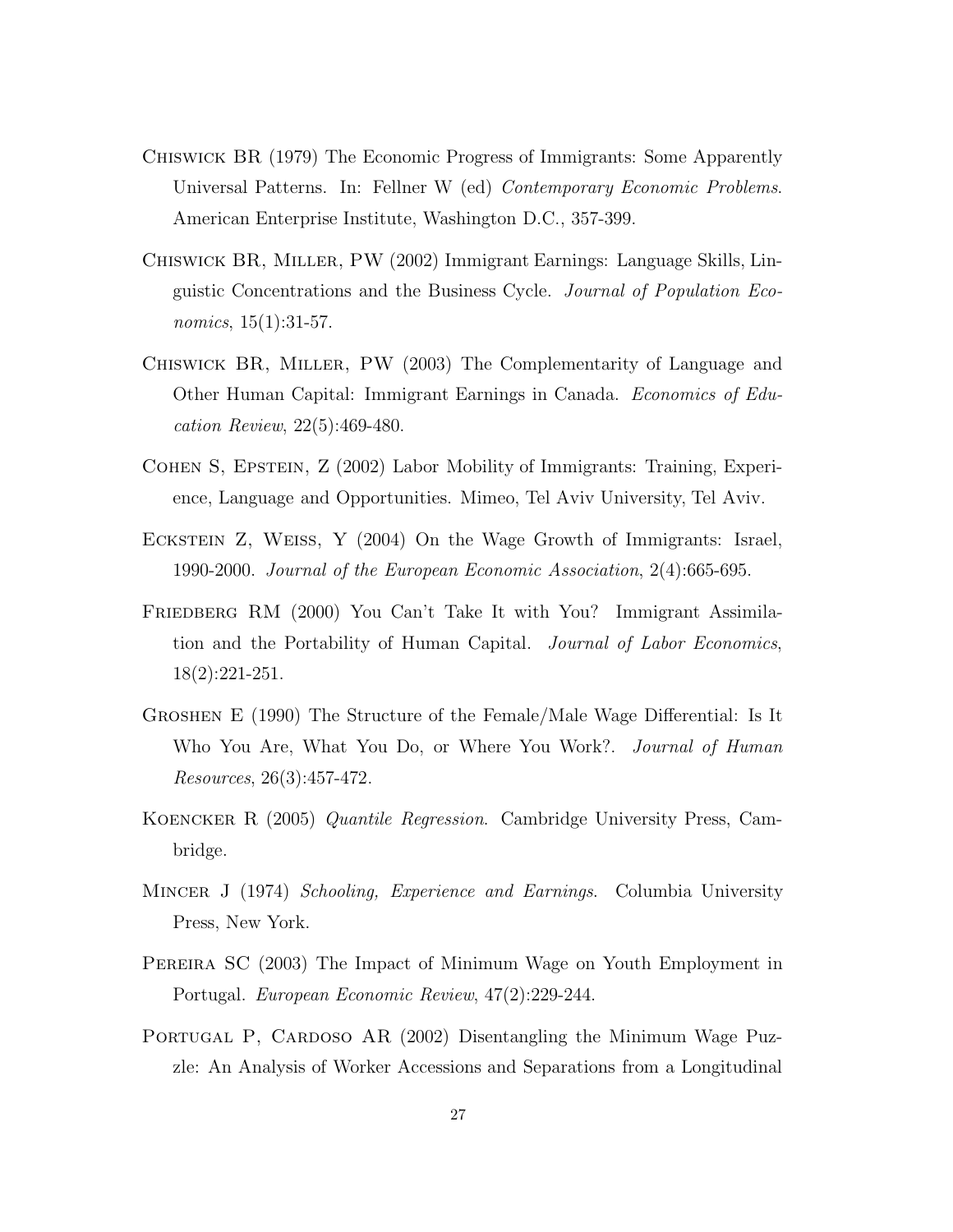- Chiswick BR (1979) The Economic Progress of Immigrants: Some Apparently Universal Patterns. In: Fellner W (ed) Contemporary Economic Problems. American Enterprise Institute, Washington D.C., 357-399.
- Chiswick BR, Miller, PW (2002) Immigrant Earnings: Language Skills, Linguistic Concentrations and the Business Cycle. Journal of Population Economics, 15(1):31-57.
- Chiswick BR, Miller, PW (2003) The Complementarity of Language and Other Human Capital: Immigrant Earnings in Canada. Economics of Education Review, 22(5):469-480.
- Cohen S, Epstein, Z (2002) Labor Mobility of Immigrants: Training, Experience, Language and Opportunities. Mimeo, Tel Aviv University, Tel Aviv.
- Eckstein Z, Weiss, Y (2004) On the Wage Growth of Immigrants: Israel, 1990-2000. Journal of the European Economic Association, 2(4):665-695.
- FRIEDBERG RM (2000) You Can't Take It with You? Immigrant Assimilation and the Portability of Human Capital. Journal of Labor Economics, 18(2):221-251.
- Groshen E (1990) The Structure of the Female/Male Wage Differential: Is It Who You Are, What You Do, or Where You Work?. *Journal of Human* Resources, 26(3):457-472.
- Koencker R (2005) Quantile Regression. Cambridge University Press, Cambridge.
- MINCER J (1974) Schooling, Experience and Earnings. Columbia University Press, New York.
- Pereira SC (2003) The Impact of Minimum Wage on Youth Employment in Portugal. European Economic Review, 47(2):229-244.
- PORTUGAL P, CARDOSO AR (2002) Disentangling the Minimum Wage Puzzle: An Analysis of Worker Accessions and Separations from a Longitudinal